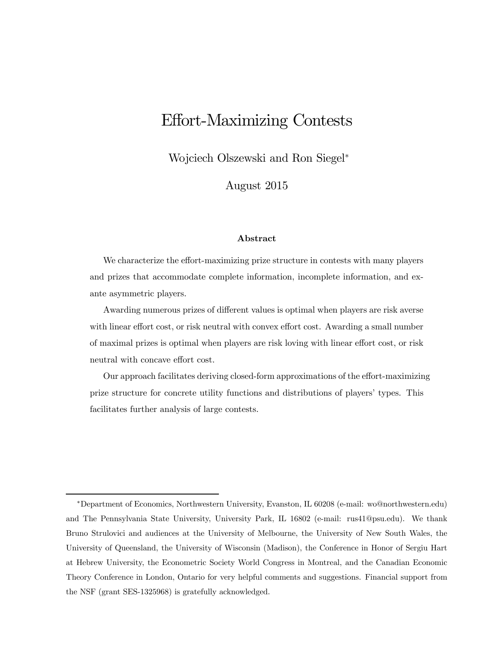# Effort-Maximizing Contests

Wojciech Olszewski and Ron Siegel<sup>∗</sup>

August 2015

#### Abstract

We characterize the effort-maximizing prize structure in contests with many players and prizes that accommodate complete information, incomplete information, and exante asymmetric players.

Awarding numerous prizes of different values is optimal when players are risk averse with linear effort cost, or risk neutral with convex effort cost. Awarding a small number of maximal prizes is optimal when players are risk loving with linear effort cost, or risk neutral with concave effort cost.

Our approach facilitates deriving closed-form approximations of the effort-maximizing prize structure for concrete utility functions and distributions of players' types. This facilitates further analysis of large contests.

<sup>∗</sup>Department of Economics, Northwestern University, Evanston, IL 60208 (e-mail: wo@northwestern.edu) and The Pennsylvania State University, University Park, IL 16802 (e-mail: rus41@psu.edu). We thank Bruno Strulovici and audiences at the University of Melbourne, the University of New South Wales, the University of Queensland, the University of Wisconsin (Madison), the Conference in Honor of Sergiu Hart at Hebrew University, the Econometric Society World Congress in Montreal, and the Canadian Economic Theory Conference in London, Ontario for very helpful comments and suggestions. Financial support from the NSF (grant SES-1325968) is gratefully acknowledged.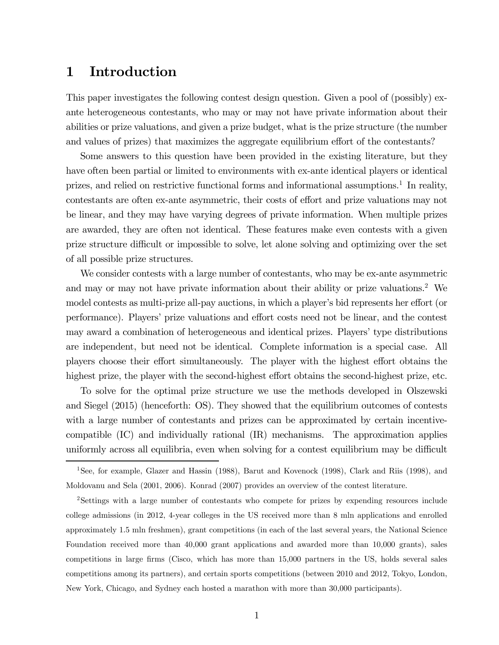### 1 Introduction

This paper investigates the following contest design question. Given a pool of (possibly) exante heterogeneous contestants, who may or may not have private information about their abilities or prize valuations, and given a prize budget, what is the prize structure (the number and values of prizes) that maximizes the aggregate equilibrium effort of the contestants?

Some answers to this question have been provided in the existing literature, but they have often been partial or limited to environments with ex-ante identical players or identical prizes, and relied on restrictive functional forms and informational assumptions.<sup>1</sup> In reality, contestants are often ex-ante asymmetric, their costs of effort and prize valuations may not be linear, and they may have varying degrees of private information. When multiple prizes are awarded, they are often not identical. These features make even contests with a given prize structure difficult or impossible to solve, let alone solving and optimizing over the set of all possible prize structures.

We consider contests with a large number of contestants, who may be ex-ante asymmetric and may or may not have private information about their ability or prize valuations.2 We model contests as multi-prize all-pay auctions, in which a player's bid represents her effort (or performance). Players' prize valuations and effort costs need not be linear, and the contest may award a combination of heterogeneous and identical prizes. Players' type distributions are independent, but need not be identical. Complete information is a special case. All players choose their effort simultaneously. The player with the highest effort obtains the highest prize, the player with the second-highest effort obtains the second-highest prize, etc.

To solve for the optimal prize structure we use the methods developed in Olszewski and Siegel (2015) (henceforth: OS). They showed that the equilibrium outcomes of contests with a large number of contestants and prizes can be approximated by certain incentivecompatible (IC) and individually rational (IR) mechanisms. The approximation applies uniformly across all equilibria, even when solving for a contest equilibrium may be difficult

<sup>&</sup>lt;sup>1</sup>See, for example, Glazer and Hassin (1988), Barut and Kovenock (1998), Clark and Riis (1998), and Moldovanu and Sela (2001, 2006). Konrad (2007) provides an overview of the contest literature.

<sup>2</sup>Settings with a large number of contestants who compete for prizes by expending resources include college admissions (in 2012, 4-year colleges in the US received more than 8 mln applications and enrolled approximately 1.5 mln freshmen), grant competitions (in each of the last several years, the National Science Foundation received more than 40,000 grant applications and awarded more than 10,000 grants), sales competitions in large firms (Cisco, which has more than 15,000 partners in the US, holds several sales competitions among its partners), and certain sports competitions (between 2010 and 2012, Tokyo, London, New York, Chicago, and Sydney each hosted a marathon with more than 30,000 participants).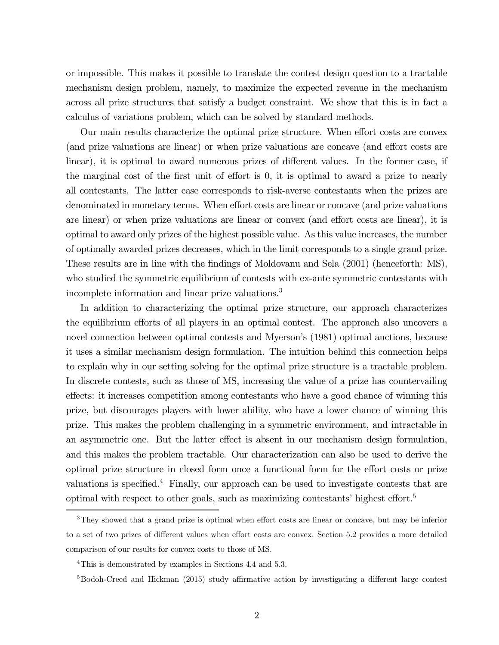or impossible. This makes it possible to translate the contest design question to a tractable mechanism design problem, namely, to maximize the expected revenue in the mechanism across all prize structures that satisfy a budget constraint. We show that this is in fact a calculus of variations problem, which can be solved by standard methods.

Our main results characterize the optimal prize structure. When effort costs are convex (and prize valuations are linear) or when prize valuations are concave (and effort costs are linear), it is optimal to award numerous prizes of different values. In the former case, if the marginal cost of the first unit of effort is 0, it is optimal to award a prize to nearly all contestants. The latter case corresponds to risk-averse contestants when the prizes are denominated in monetary terms. When effort costs are linear or concave (and prize valuations are linear) or when prize valuations are linear or convex (and effort costs are linear), it is optimal to award only prizes of the highest possible value. As this value increases, the number of optimally awarded prizes decreases, which in the limit corresponds to a single grand prize. These results are in line with the findings of Moldovanu and Sela (2001) (henceforth: MS), who studied the symmetric equilibrium of contests with ex-ante symmetric contestants with incomplete information and linear prize valuations.3

In addition to characterizing the optimal prize structure, our approach characterizes the equilibrium efforts of all players in an optimal contest. The approach also uncovers a novel connection between optimal contests and Myerson's (1981) optimal auctions, because it uses a similar mechanism design formulation. The intuition behind this connection helps to explain why in our setting solving for the optimal prize structure is a tractable problem. In discrete contests, such as those of MS, increasing the value of a prize has countervailing effects: it increases competition among contestants who have a good chance of winning this prize, but discourages players with lower ability, who have a lower chance of winning this prize. This makes the problem challenging in a symmetric environment, and intractable in an asymmetric one. But the latter effect is absent in our mechanism design formulation, and this makes the problem tractable. Our characterization can also be used to derive the optimal prize structure in closed form once a functional form for the effort costs or prize valuations is specified.<sup>4</sup> Finally, our approach can be used to investigate contests that are optimal with respect to other goals, such as maximizing contestants' highest effort.5

<sup>&</sup>lt;sup>3</sup>They showed that a grand prize is optimal when effort costs are linear or concave, but may be inferior to a set of two prizes of different values when effort costs are convex. Section 5.2 provides a more detailed comparison of our results for convex costs to those of MS.

<sup>4</sup>This is demonstrated by examples in Sections 4.4 and 5.3.

<sup>&</sup>lt;sup>5</sup>Bodoh-Creed and Hickman (2015) study affirmative action by investigating a different large contest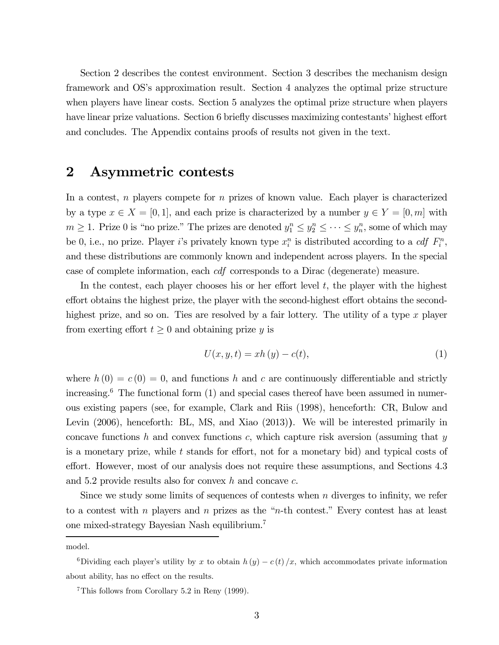Section 2 describes the contest environment. Section 3 describes the mechanism design framework and OS's approximation result. Section 4 analyzes the optimal prize structure when players have linear costs. Section 5 analyzes the optimal prize structure when players have linear prize valuations. Section 6 briefly discusses maximizing contestants' highest effort and concludes. The Appendix contains proofs of results not given in the text.

### 2 Asymmetric contests

In a contest,  $n$  players compete for  $n$  prizes of known value. Each player is characterized by a type  $x \in X = [0, 1]$ , and each prize is characterized by a number  $y \in Y = [0, m]$  with  $m \geq 1$ . Prize 0 is "no prize." The prizes are denoted  $y_1^n \leq y_2^n \leq \cdots \leq y_n^n$ , some of which may be 0, i.e., no prize. Player i's privately known type  $x_i^n$  is distributed according to a *cdf*  $F_i^n$ , and these distributions are commonly known and independent across players. In the special case of complete information, each cdf corresponds to a Dirac (degenerate) measure.

In the contest, each player chooses his or her effort level  $t$ , the player with the highest effort obtains the highest prize, the player with the second-highest effort obtains the secondhighest prize, and so on. Ties are resolved by a fair lottery. The utility of a type  $x$  player from exerting effort  $t \geq 0$  and obtaining prize y is

$$
U(x, y, t) = xh(y) - c(t),
$$
\n<sup>(1)</sup>

where  $h(0) = c(0) = 0$ , and functions h and c are continuously differentiable and strictly increasing.6 The functional form (1) and special cases thereof have been assumed in numerous existing papers (see, for example, Clark and Riis (1998), henceforth: CR, Bulow and Levin (2006), henceforth: BL, MS, and Xiao (2013)). We will be interested primarily in concave functions h and convex functions c, which capture risk aversion (assuming that  $y$ is a monetary prize, while  $t$  stands for effort, not for a monetary bid) and typical costs of effort. However, most of our analysis does not require these assumptions, and Sections 4.3 and 5.2 provide results also for convex h and concave  $c$ .

Since we study some limits of sequences of contests when  $n$  diverges to infinity, we refer to a contest with n players and n prizes as the "n-th contest." Every contest has at least one mixed-strategy Bayesian Nash equilibrium.7

model.

<sup>&</sup>lt;sup>6</sup>Dividing each player's utility by x to obtain  $h(y) - c(t)/x$ , which accommodates private information about ability, has no effect on the results.

<sup>7</sup>This follows from Corollary 5.2 in Reny (1999).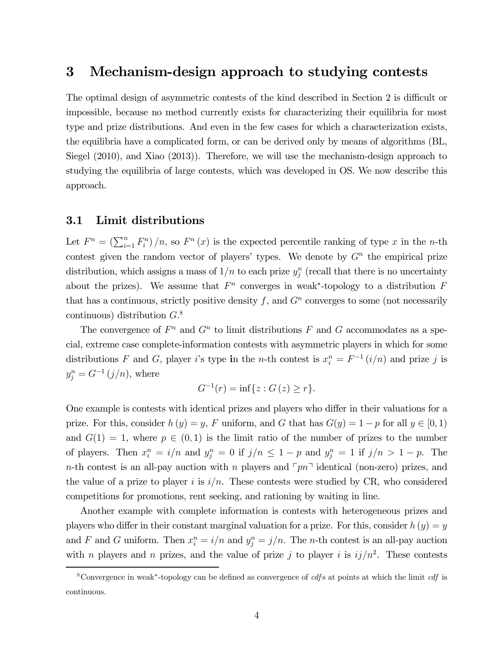### 3 Mechanism-design approach to studying contests

The optimal design of asymmetric contests of the kind described in Section 2 is difficult or impossible, because no method currently exists for characterizing their equilibria for most type and prize distributions. And even in the few cases for which a characterization exists, the equilibria have a complicated form, or can be derived only by means of algorithms (BL, Siegel (2010), and Xiao (2013)). Therefore, we will use the mechanism-design approach to studying the equilibria of large contests, which was developed in OS. We now describe this approach.

#### 3.1 Limit distributions

Let  $F^n = \left(\sum_{i=1}^n F_i^n\right)/n$ , so  $F^n(x)$  is the expected percentile ranking of type x in the n-th contest given the random vector of players' types. We denote by  $G<sup>n</sup>$  the empirical prize distribution, which assigns a mass of  $1/n$  to each prize  $y_j^n$  (recall that there is no uncertainty about the prizes). We assume that  $F<sup>n</sup>$  converges in weak<sup>\*</sup>-topology to a distribution F that has a continuous, strictly positive density f, and  $G<sup>n</sup>$  converges to some (not necessarily continuous) distribution  $G<sup>8</sup>$ 

The convergence of  $F^n$  and  $G^n$  to limit distributions F and G accommodates as a special, extreme case complete-information contests with asymmetric players in which for some distributions F and G, player i's type in the n-th contest is  $x_i^n = F^{-1}(i/n)$  and prize j is  $y_j^n = G^{-1}(j/n)$ , where

$$
G^{-1}(r) = \inf\{z : G(z) \ge r\}.
$$

One example is contests with identical prizes and players who differ in their valuations for a prize. For this, consider  $h(y) = y$ , F uniform, and G that has  $G(y) = 1 - p$  for all  $y \in [0, 1)$ and  $G(1) = 1$ , where  $p \in (0, 1)$  is the limit ratio of the number of prizes to the number of players. Then  $x_i^n = i/n$  and  $y_j^n = 0$  if  $j/n \leq 1 - p$  and  $y_j^n = 1$  if  $j/n > 1 - p$ . The n-th contest is an all-pay auction with n players and  $\lceil pn \rceil$  identical (non-zero) prizes, and the value of a prize to player i is  $i/n$ . These contests were studied by CR, who considered competitions for promotions, rent seeking, and rationing by waiting in line.

Another example with complete information is contests with heterogeneous prizes and players who differ in their constant marginal valuation for a prize. For this, consider  $h(y) = y$ and F and G uniform. Then  $x_i^n = i/n$  and  $y_j^n = j/n$ . The *n*-th contest is an all-pay auction with *n* players and *n* prizes, and the value of prize *j* to player *i* is  $ij/n^2$ . These contests

<sup>&</sup>lt;sup>8</sup>Convergence in weak<sup>∗</sup>-topology can be defined as convergence of *cdf* s at points at which the limit *cdf* is continuous.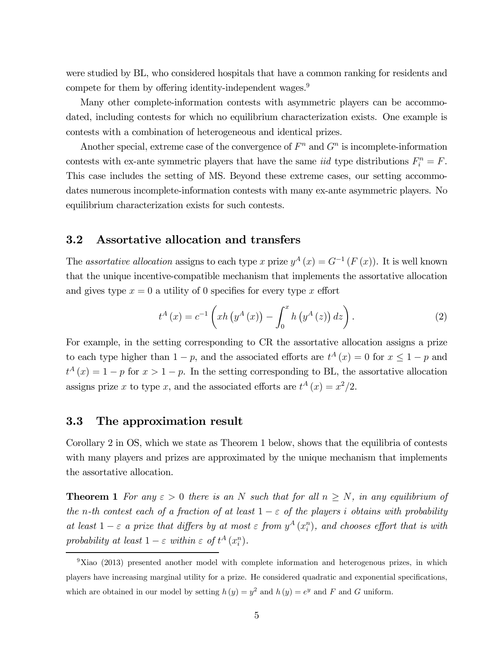were studied by BL, who considered hospitals that have a common ranking for residents and compete for them by offering identity-independent wages.<sup>9</sup>

Many other complete-information contests with asymmetric players can be accommodated, including contests for which no equilibrium characterization exists. One example is contests with a combination of heterogeneous and identical prizes.

Another special, extreme case of the convergence of  $F<sup>n</sup>$  and  $G<sup>n</sup>$  is incomplete-information contests with ex-ante symmetric players that have the same *iid* type distributions  $F_i^n = F$ . This case includes the setting of MS. Beyond these extreme cases, our setting accommodates numerous incomplete-information contests with many ex-ante asymmetric players. No equilibrium characterization exists for such contests.

#### 3.2 Assortative allocation and transfers

The assortative allocation assigns to each type x prize  $y^A(x) = G^{-1}(F(x))$ . It is well known that the unique incentive-compatible mechanism that implements the assortative allocation and gives type  $x = 0$  a utility of 0 specifies for every type x effort

$$
t^{A}(x) = c^{-1} \left( x h \left( y^{A}(x) \right) - \int_{0}^{x} h \left( y^{A}(z) \right) dz \right). \tag{2}
$$

For example, in the setting corresponding to CR the assortative allocation assigns a prize to each type higher than  $1 - p$ , and the associated efforts are  $t^A(x) = 0$  for  $x \le 1 - p$  and  $t^A(x) = 1 - p$  for  $x > 1 - p$ . In the setting corresponding to BL, the assortative allocation assigns prize x to type x, and the associated efforts are  $t^A(x) = x^2/2$ .

#### 3.3 The approximation result

Corollary 2 in OS, which we state as Theorem 1 below, shows that the equilibria of contests with many players and prizes are approximated by the unique mechanism that implements the assortative allocation.

**Theorem 1** For any  $\varepsilon > 0$  there is an N such that for all  $n \geq N$ , in any equilibrium of the n-th contest each of a fraction of at least  $1 - \varepsilon$  of the players i obtains with probability at least  $1 - \varepsilon$  a prize that differs by at most  $\varepsilon$  from  $y^A(x_i^n)$ , and chooses effort that is with probability at least  $1 - \varepsilon$  within  $\varepsilon$  of  $t^A(x_i^n)$ .

 $9$ Xiao (2013) presented another model with complete information and heterogenous prizes, in which players have increasing marginal utility for a prize. He considered quadratic and exponential specifications, which are obtained in our model by setting  $h(y) = y^2$  and  $h(y) = e^y$  and F and G uniform.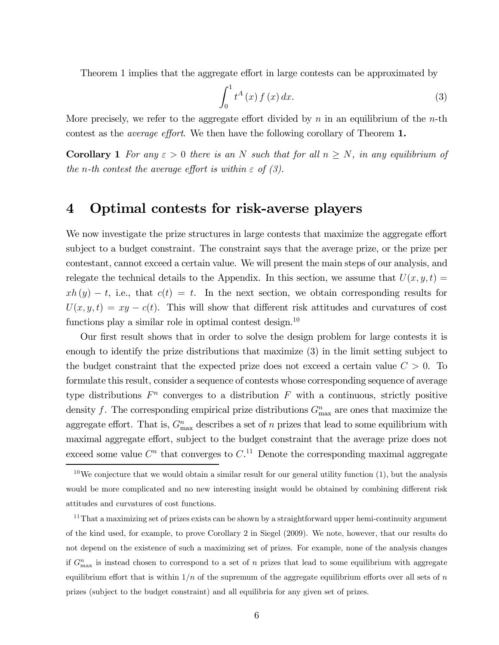Theorem 1 implies that the aggregate effort in large contests can be approximated by

$$
\int_0^1 t^A(x) f(x) dx.
$$
 (3)

More precisely, we refer to the aggregate effort divided by  $n$  in an equilibrium of the *n*-th contest as the average effort. We then have the following corollary of Theorem 1.

**Corollary 1** For any  $\varepsilon > 0$  there is an N such that for all  $n \geq N$ , in any equilibrium of the n-th contest the average effort is within  $\varepsilon$  of  $(3)$ .

### 4 Optimal contests for risk-averse players

We now investigate the prize structures in large contests that maximize the aggregate effort subject to a budget constraint. The constraint says that the average prize, or the prize per contestant, cannot exceed a certain value. We will present the main steps of our analysis, and relegate the technical details to the Appendix. In this section, we assume that  $U(x, y, t) =$  $xh(y) - t$ , i.e., that  $c(t) = t$ . In the next section, we obtain corresponding results for  $U(x, y, t) = xy - c(t)$ . This will show that different risk attitudes and curvatures of cost functions play a similar role in optimal contest design.<sup>10</sup>

Our first result shows that in order to solve the design problem for large contests it is enough to identify the prize distributions that maximize (3) in the limit setting subject to the budget constraint that the expected prize does not exceed a certain value  $C > 0$ . To formulate this result, consider a sequence of contests whose corresponding sequence of average type distributions  $F<sup>n</sup>$  converges to a distribution F with a continuous, strictly positive density f. The corresponding empirical prize distributions  $G_{\text{max}}^n$  are ones that maximize the aggregate effort. That is,  $G_{\text{max}}^n$  describes a set of n prizes that lead to some equilibrium with maximal aggregate effort, subject to the budget constraint that the average prize does not exceed some value  $C^n$  that converges to  $C^{11}$  Denote the corresponding maximal aggregate

 $10$ We conjecture that we would obtain a similar result for our general utility function  $(1)$ , but the analysis would be more complicated and no new interesting insight would be obtained by combining different risk attitudes and curvatures of cost functions.

<sup>11</sup>That a maximizing set of prizes exists can be shown by a straightforward upper hemi-continuity argument of the kind used, for example, to prove Corollary 2 in Siegel (2009). We note, however, that our results do not depend on the existence of such a maximizing set of prizes. For example, none of the analysis changes if  $G_{\text{max}}^n$  is instead chosen to correspond to a set of n prizes that lead to some equilibrium with aggregate equilibrium effort that is within  $1/n$  of the supremum of the aggregate equilibrium efforts over all sets of n prizes (subject to the budget constraint) and all equilibria for any given set of prizes.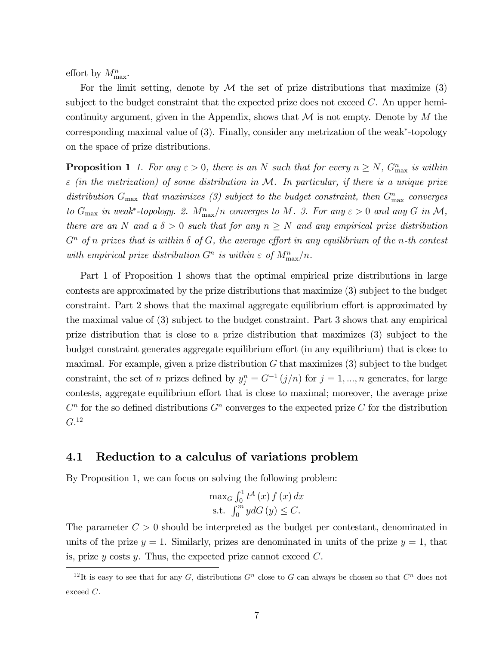effort by  $M_{\text{max}}^n$ .

For the limit setting, denote by  $\mathcal M$  the set of prize distributions that maximize (3) subject to the budget constraint that the expected prize does not exceed  $C$ . An upper hemicontinuity argument, given in the Appendix, shows that  $\mathcal M$  is not empty. Denote by  $M$  the corresponding maximal value of (3). Finally, consider any metrization of the weak∗-topology on the space of prize distributions.

**Proposition 1** 1. For any  $\varepsilon > 0$ , there is an N such that for every  $n \ge N$ ,  $G_{\text{max}}^n$  is within  $\varepsilon$  (in the metrization) of some distribution in M. In particular, if there is a unique prize distribution  $G_{\text{max}}$  that maximizes (3) subject to the budget constraint, then  $G_{\text{max}}^n$  converges to  $G_{\text{max}}$  in weak<sup>\*</sup>-topology. 2.  $M_{\text{max}}^n/n$  converges to M. 3. For any  $\varepsilon > 0$  and any  $G$  in  $\mathcal{M},$ there are an N and a  $\delta > 0$  such that for any  $n \geq N$  and any empirical prize distribution  $G<sup>n</sup>$  of n prizes that is within  $\delta$  of  $G$ , the average effort in any equilibrium of the n-th contest with empirical prize distribution  $G^n$  is within  $\varepsilon$  of  $M^n_{\text{max}}/n$ .

Part 1 of Proposition 1 shows that the optimal empirical prize distributions in large contests are approximated by the prize distributions that maximize (3) subject to the budget constraint. Part 2 shows that the maximal aggregate equilibrium effort is approximated by the maximal value of (3) subject to the budget constraint. Part 3 shows that any empirical prize distribution that is close to a prize distribution that maximizes (3) subject to the budget constraint generates aggregate equilibrium effort (in any equilibrium) that is close to maximal. For example, given a prize distribution  $G$  that maximizes  $(3)$  subject to the budget constraint, the set of n prizes defined by  $y_j^n = G^{-1}(j/n)$  for  $j = 1, ..., n$  generates, for large contests, aggregate equilibrium effort that is close to maximal; moreover, the average prize  $C<sup>n</sup>$  for the so defined distributions  $G<sup>n</sup>$  converges to the expected prize C for the distribution  $G.^{12}$ 

### 4.1 Reduction to a calculus of variations problem

By Proposition 1, we can focus on solving the following problem:

$$
\max_{G} \int_0^1 t^A(x) f(x) dx
$$
  
s.t. 
$$
\int_0^m y dG(y) \le C.
$$

The parameter  $C > 0$  should be interpreted as the budget per contestant, denominated in units of the prize  $y = 1$ . Similarly, prizes are denominated in units of the prize  $y = 1$ , that is, prize  $y$  costs  $y$ . Thus, the expected prize cannot exceed  $C$ .

<sup>&</sup>lt;sup>12</sup>It is easy to see that for any G, distributions  $G<sup>n</sup>$  close to G can always be chosen so that  $C<sup>n</sup>$  does not exceed C.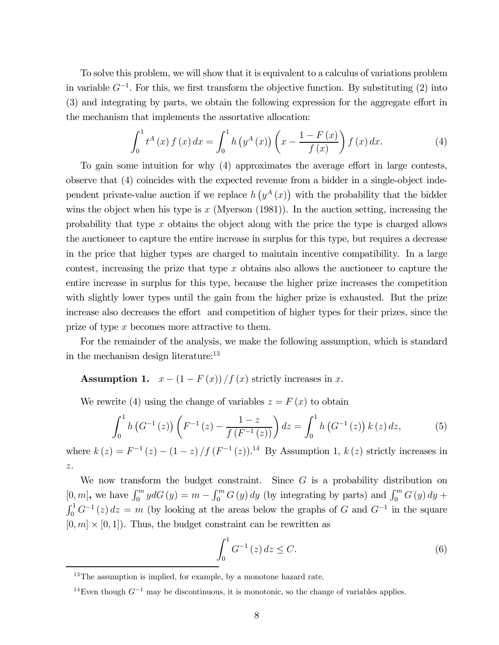To solve this problem, we will show that it is equivalent to a calculus of variations problem in variable  $G^{-1}$ . For this, we first transform the objective function. By substituting (2) into (3) and integrating by parts, we obtain the following expression for the aggregate effort in the mechanism that implements the assortative allocation:

$$
\int_0^1 t^A(x) f(x) dx = \int_0^1 h(y^A(x)) \left( x - \frac{1 - F(x)}{f(x)} \right) f(x) dx.
$$
 (4)

To gain some intuition for why (4) approximates the average effort in large contests, observe that (4) coincides with the expected revenue from a bidder in a single-object independent private-value auction if we replace  $h(y^A(x))$  with the probability that the bidder wins the object when his type is  $x$  (Myerson (1981)). In the auction setting, increasing the probability that type  $x$  obtains the object along with the price the type is charged allows the auctioneer to capture the entire increase in surplus for this type, but requires a decrease in the price that higher types are charged to maintain incentive compatibility. In a large contest, increasing the prize that type  $x$  obtains also allows the auctioneer to capture the entire increase in surplus for this type, because the higher prize increases the competition with slightly lower types until the gain from the higher prize is exhausted. But the prize increase also decreases the effort and competition of higher types for their prizes, since the prize of type x becomes more attractive to them.

For the remainder of the analysis, we make the following assumption, which is standard in the mechanism design literature:<sup>13</sup>

Assumption 1.  $x - (1 - F(x))/f(x)$  strictly increases in x.

We rewrite (4) using the change of variables  $z = F(x)$  to obtain

$$
\int_0^1 h\left(G^{-1}\left(z\right)\right)\left(F^{-1}\left(z\right) - \frac{1-z}{f\left(F^{-1}\left(z\right)\right)}\right)dz = \int_0^1 h\left(G^{-1}\left(z\right)\right)k\left(z\right)dz,\tag{5}
$$

where  $k(z) = F^{-1}(z) - (1-z) / f(F^{-1}(z))$ .<sup>14</sup> By Assumption 1,  $k(z)$  strictly increases in z.

We now transform the budget constraint. Since  $G$  is a probability distribution on  $[0, m]$ , we have  $\int_0^m y dG(y) = m - \int_0^m G(y) dy$  (by integrating by parts) and  $\int_0^m G(y) dy +$  $\int_0^1 G^{-1}(z) dz = m$  (by looking at the areas below the graphs of G and  $G^{-1}$  in the square  $[0, m] \times [0, 1]$ . Thus, the budget constraint can be rewritten as

$$
\int_{0}^{1} G^{-1}(z) dz \le C.
$$
 (6)

<sup>&</sup>lt;sup>13</sup>The assumption is implied, for example, by a monotone hazard rate.

<sup>&</sup>lt;sup>14</sup>Even though  $G^{-1}$  may be discontinuous, it is monotonic, so the change of variables applies.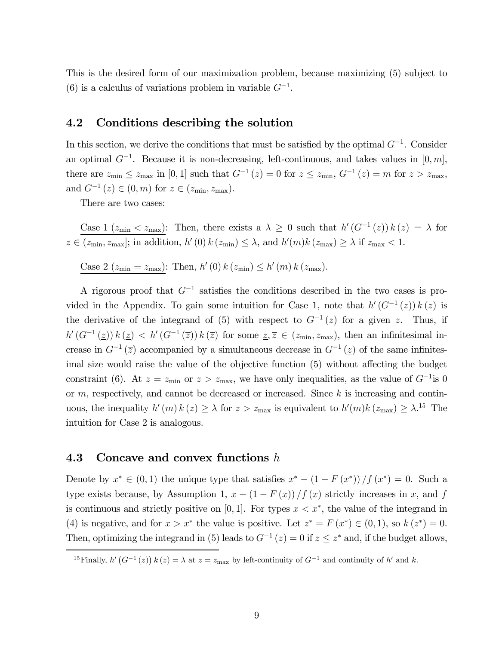This is the desired form of our maximization problem, because maximizing (5) subject to (6) is a calculus of variations problem in variable  $G^{-1}$ .

#### 4.2 Conditions describing the solution

In this section, we derive the conditions that must be satisfied by the optimal  $G^{-1}$ . Consider an optimal  $G^{-1}$ . Because it is non-decreasing, left-continuous, and takes values in [0, m], there are  $z_{\text{min}} \leq z_{\text{max}}$  in [0, 1] such that  $G^{-1}(z) = 0$  for  $z \leq z_{\text{min}}$ ,  $G^{-1}(z) = m$  for  $z > z_{\text{max}}$ , and  $G^{-1}(z) \in (0, m)$  for  $z \in (z_{\min}, z_{\max})$ .

There are two cases:

Case 1 ( $z_{\text{min}} < z_{\text{max}}$ ): Then, there exists a  $\lambda \geq 0$  such that  $h'(G^{-1}(z)) k(z) = \lambda$  for  $z \in (z_{\min}, z_{\max}]$ ; in addition,  $h'(0) k(z_{\min}) \leq \lambda$ , and  $h'(m) k(z_{\max}) \geq \lambda$  if  $z_{\max} < 1$ .

Case 2 ( $z_{\text{min}} = z_{\text{max}}$ ): Then,  $h'(0) k (z_{\text{min}}) \leq h'(m) k (z_{\text{max}})$ .

A rigorous proof that  $G^{-1}$  satisfies the conditions described in the two cases is provided in the Appendix. To gain some intuition for Case 1, note that  $h'(G^{-1}(z)) k(z)$  is the derivative of the integrand of (5) with respect to  $G^{-1}(z)$  for a given z. Thus, if  $h'(G^{-1}(\underline{z})) k(\underline{z}) < h'(G^{-1}(\overline{z})) k(\overline{z})$  for some  $\underline{z}, \overline{z} \in (z_{\min}, z_{\max})$ , then an infinitesimal increase in  $G^{-1}(\overline{z})$  accompanied by a simultaneous decrease in  $G^{-1}(z)$  of the same infinitesimal size would raise the value of the objective function (5) without affecting the budget constraint (6). At  $z = z_{\text{min}}$  or  $z > z_{\text{max}}$ , we have only inequalities, as the value of  $G^{-1}$ is 0 or  $m$ , respectively, and cannot be decreased or increased. Since  $k$  is increasing and continuous, the inequality  $h'(m) k(z) \geq \lambda$  for  $z > z_{\text{max}}$  is equivalent to  $h'(m) k(z_{\text{max}}) \geq \lambda^{15}$  The intuition for Case 2 is analogous.

#### 4.3 Concave and convex functions  $h$

Denote by  $x^* \in (0,1)$  the unique type that satisfies  $x^* - (1 - F(x^*)) / f(x^*) = 0$ . Such a type exists because, by Assumption 1,  $x - (1 - F(x))/f(x)$  strictly increases in x, and f is continuous and strictly positive on [0, 1]. For types  $x < x^*$ , the value of the integrand in (4) is negative, and for  $x>x^*$  the value is positive. Let  $z^* = F(x^*) \in (0,1)$ , so  $k(z^*) = 0$ . Then, optimizing the integrand in (5) leads to  $G^{-1}(z)=0$  if  $z \leq z^*$  and, if the budget allows,

<sup>&</sup>lt;sup>15</sup>Finally,  $h'(G^{-1}(z)) k(z) = \lambda$  at  $z = z_{\text{max}}$  by left-continuity of  $G^{-1}$  and continuity of  $h'$  and k.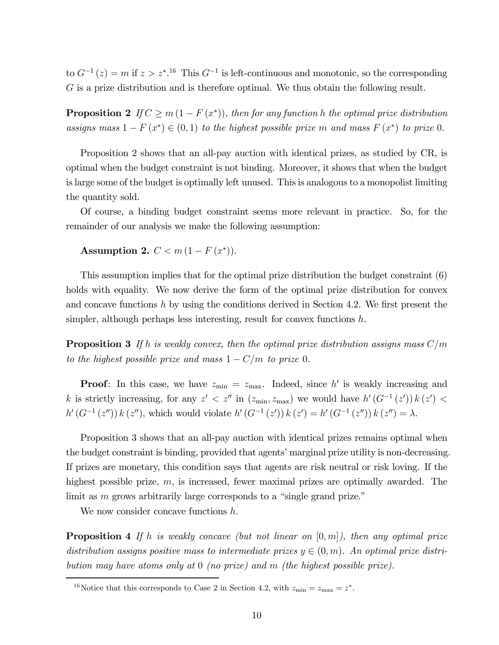to  $G^{-1}(z) = m$  if  $z > z^*$ .<sup>16</sup> This  $G^{-1}$  is left-continuous and monotonic, so the corresponding G is a prize distribution and is therefore optimal. We thus obtain the following result.

**Proposition 2** If  $C \geq m(1 - F(x^*))$ , then for any function h the optimal prize distribution assigns mass  $1 - F(x^*) \in (0,1)$  to the highest possible prize m and mass  $F(x^*)$  to prize 0.

Proposition 2 shows that an all-pay auction with identical prizes, as studied by CR, is optimal when the budget constraint is not binding. Moreover, it shows that when the budget is large some of the budget is optimally left unused. This is analogous to a monopolist limiting the quantity sold.

Of course, a binding budget constraint seems more relevant in practice. So, for the remainder of our analysis we make the following assumption:

Assumption 2.  $C < m(1 - F(x^*))$ .

This assumption implies that for the optimal prize distribution the budget constraint (6) holds with equality. We now derive the form of the optimal prize distribution for convex and concave functions  $h$  by using the conditions derived in Section 4.2. We first present the simpler, although perhaps less interesting, result for convex functions  $h$ .

**Proposition 3** If h is weakly convex, then the optimal prize distribution assigns mass  $C/m$ to the highest possible prize and mass  $1 - C/m$  to prize 0.

**Proof:** In this case, we have  $z_{\text{min}} = z_{\text{max}}$ . Indeed, since h' is weakly increasing and k is strictly increasing, for any  $z' < z''$  in  $(z_{\min}, z_{\max})$  we would have  $h'(G^{-1}(z')) k(z')$  $h'(G^{-1}(z'')) k(z'')$ , which would violate  $h'(G^{-1}(z')) k(z') = h'(G^{-1}(z'')) k(z'') = \lambda$ .

Proposition 3 shows that an all-pay auction with identical prizes remains optimal when the budget constraint is binding, provided that agents' marginal prize utility is non-decreasing. If prizes are monetary, this condition says that agents are risk neutral or risk loving. If the highest possible prize, m, is increased, fewer maximal prizes are optimally awarded. The limit as m grows arbitrarily large corresponds to a "single grand prize."

We now consider concave functions h.

**Proposition 4** If h is weakly concave (but not linear on  $[0, m]$ ), then any optimal prize distribution assigns positive mass to intermediate prizes  $y \in (0, m)$ . An optimal prize distribution may have atoms only at 0 (no prize) and m (the highest possible prize).

<sup>&</sup>lt;sup>16</sup>Notice that this corresponds to Case 2 in Section 4.2, with  $z_{\text{min}} = z_{\text{max}} = z^*$ .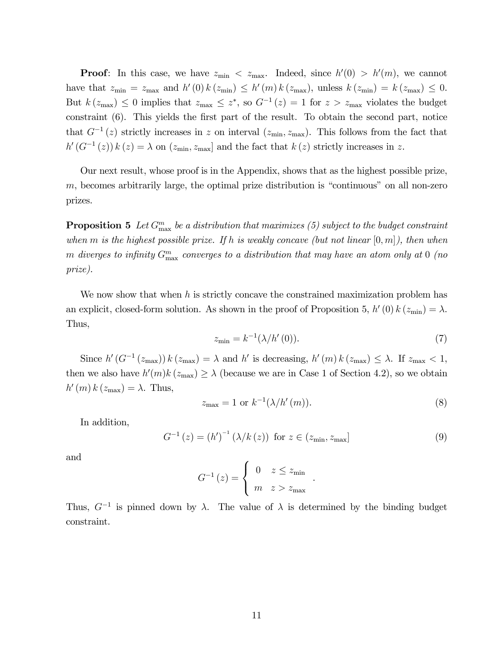**Proof**: In this case, we have  $z_{\text{min}} < z_{\text{max}}$ . Indeed, since  $h'(0) > h'(m)$ , we cannot have that  $z_{\min} = z_{\max}$  and  $h'(0) k (z_{\min}) \leq h'(m) k (z_{\max})$ , unless  $k (z_{\min}) = k (z_{\max}) \leq 0$ . But  $k(z_{\text{max}}) \leq 0$  implies that  $z_{\text{max}} \leq z^*$ , so  $G^{-1}(z)=1$  for  $z>z_{\text{max}}$  violates the budget constraint (6). This yields the first part of the result. To obtain the second part, notice that  $G^{-1}(z)$  strictly increases in z on interval  $(z_{\min}, z_{\max})$ . This follows from the fact that  $h'(G^{-1}(z)) k(z) = \lambda$  on  $(z_{\min}, z_{\max}]$  and the fact that  $k(z)$  strictly increases in z.

Our next result, whose proof is in the Appendix, shows that as the highest possible prize, m, becomes arbitrarily large, the optimal prize distribution is "continuous" on all non-zero prizes.

**Proposition 5** Let  $G_{\text{max}}^m$  be a distribution that maximizes (5) subject to the budget constraint when m is the highest possible prize. If h is weakly concave (but not linear  $[0, m]$ ), then when  $m$  diverges to infinity  $G_{\rm max}^m$  converges to a distribution that may have an atom only at  $0$  (no prize).

We now show that when  $h$  is strictly concave the constrained maximization problem has an explicit, closed-form solution. As shown in the proof of Proposition 5,  $h'(0) k (z_{\min}) = \lambda$ . Thus,

$$
z_{\min} = k^{-1} (\lambda / h'(0)).
$$
\n(7)

Since  $h'(G^{-1}(z_{\text{max}})) k (z_{\text{max}}) = \lambda$  and h' is decreasing,  $h'(m) k (z_{\text{max}}) \leq \lambda$ . If  $z_{\text{max}} < 1$ , then we also have  $h'(m)k(z_{\text{max}}) \geq \lambda$  (because we are in Case 1 of Section 4.2), so we obtain  $h'(m) k (z_{\text{max}}) = \lambda$ . Thus,

$$
z_{\text{max}} = 1 \text{ or } k^{-1}(\lambda/h'(m)).\tag{8}
$$

In addition,

$$
G^{-1}(z) = (h')^{-1} (\lambda/k(z)) \text{ for } z \in (z_{\min}, z_{\max}]
$$
 (9)

.

and

$$
G^{-1}(z) = \begin{cases} 0 & z \le z_{\min} \\ m & z > z_{\max} \end{cases}
$$

Thus,  $G^{-1}$  is pinned down by  $\lambda$ . The value of  $\lambda$  is determined by the binding budget constraint.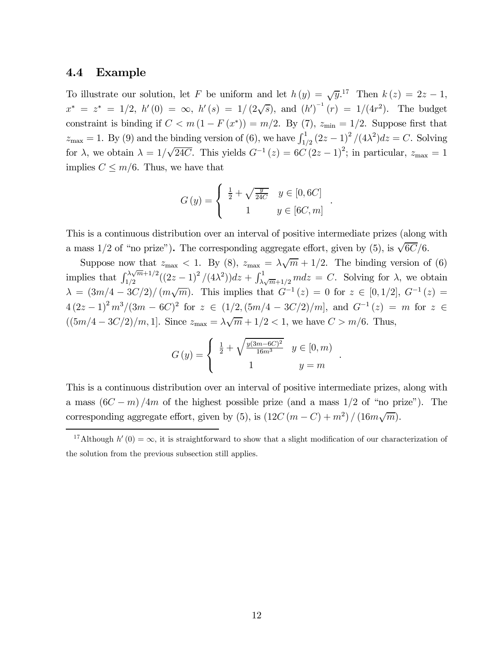#### 4.4 Example

To illustrate our solution, let F be uniform and let  $h(y) = \sqrt{y}$ .<sup>17</sup> Then  $k(z) = 2z - 1$ ,  $x^* = z^* = 1/2$ ,  $h'(0) = \infty$ ,  $h'(s) = 1/(2\sqrt{s})$ , and  $(h')^{-1}(r) = 1/(4r^2)$ . The budget constraint is binding if  $C < m(1 - F(x^*)) = m/2$ . By (7),  $z_{\text{min}} = 1/2$ . Suppose first that  $z_{\text{max}} = 1$ . By (9) and the binding version of (6), we have  $\int_{1/2}^{1} (2z - 1)^2 / (4\lambda^2) dz = C$ . Solving for  $\lambda$ , we obtain  $\lambda = 1/\sqrt{24C}$ . This yields  $G^{-1}(z) = 6C(2z - 1)^2$ ; in particular,  $z_{\text{max}} = 1$ implies  $C \leq m/6$ . Thus, we have that

$$
G(y) = \begin{cases} \frac{1}{2} + \sqrt{\frac{y}{24C}} & y \in [0, 6C] \\ 1 & y \in [6C, m] \end{cases}
$$

.

.

This is a continuous distribution over an interval of positive intermediate prizes (along with a mass 1/2 of "no prize"). The corresponding aggregate effort, given by (5), is  $\sqrt{6C}/6$ .

Suppose now that  $z_{\text{max}} < 1$ . By (8),  $z_{\text{max}} = \lambda \sqrt{m} + 1/2$ . The binding version of (6) implies that  $\int_{1/2}^{\lambda\sqrt{m}+1/2}((2z-1)^2/(4\lambda^2))dz+\int_{\lambda\sqrt{m}+1/2}^1mdz=C$ . Solving for  $\lambda$ , we obtain  $\lambda = (3m/4 - 3C/2)/(m\sqrt{m})$ . This implies that  $G^{-1}(z) = 0$  for  $z \in [0, 1/2]$ ,  $G^{-1}(z) =$  $4(2z-1)^2 m^3/(3m-6C)^2$  for  $z \in (1/2,(5m/4-3C/2)/m]$ , and  $G^{-1}(z) = m$  for  $z \in$  $((5m/4 - 3C/2)/m, 1]$ . Since  $z_{\text{max}} = \lambda \sqrt{m} + 1/2 < 1$ , we have  $C > m/6$ . Thus,

$$
G(y) = \begin{cases} \frac{1}{2} + \sqrt{\frac{y(3m - 6C)^2}{16m^3}} & y \in [0, m) \\ 1 & y = m \end{cases}
$$

This is a continuous distribution over an interval of positive intermediate prizes, along with a mass  $(6C - m)/4m$  of the highest possible prize (and a mass 1/2 of "no prize"). The corresponding aggregate effort, given by (5), is  $(12C(m - C) + m^2)/(16m\sqrt{m})$ .

<sup>&</sup>lt;sup>17</sup>Although  $h'(0) = \infty$ , it is straightforward to show that a slight modification of our characterization of the solution from the previous subsection still applies.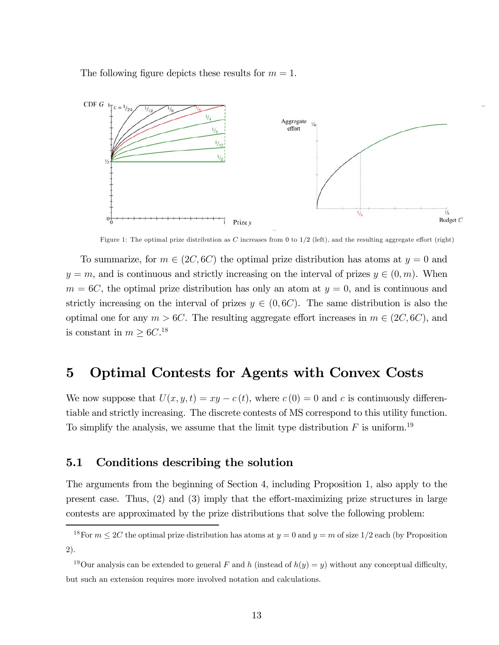The following figure depicts these results for  $m = 1$ .



Figure 1: The optimal prize distribution as C increases from 0 to  $1/2$  (left), and the resulting aggregate effort (right)

To summarize, for  $m \in (2C, 6C)$  the optimal prize distribution has atoms at  $y = 0$  and  $y = m$ , and is continuous and strictly increasing on the interval of prizes  $y \in (0, m)$ . When  $m = 6C$ , the optimal prize distribution has only an atom at  $y = 0$ , and is continuous and strictly increasing on the interval of prizes  $y \in (0, 6C)$ . The same distribution is also the optimal one for any  $m > 6C$ . The resulting aggregate effort increases in  $m \in (2C, 6C)$ , and is constant in  $m \geq 6C$ .<sup>18</sup>

### 5 Optimal Contests for Agents with Convex Costs

We now suppose that  $U(x, y, t) = xy - c(t)$ , where  $c(0) = 0$  and c is continuously differentiable and strictly increasing. The discrete contests of MS correspond to this utility function. To simplify the analysis, we assume that the limit type distribution  $F$  is uniform.<sup>19</sup>

#### 5.1 Conditions describing the solution

The arguments from the beginning of Section 4, including Proposition 1, also apply to the present case. Thus, (2) and (3) imply that the effort-maximizing prize structures in large contests are approximated by the prize distributions that solve the following problem:

<sup>&</sup>lt;sup>18</sup>For  $m \leq 2C$  the optimal prize distribution has atoms at  $y = 0$  and  $y = m$  of size 1/2 each (by Proposition 2).

<sup>&</sup>lt;sup>19</sup>Our analysis can be extended to general F and h (instead of  $h(y) = y$ ) without any conceptual difficulty, but such an extension requires more involved notation and calculations.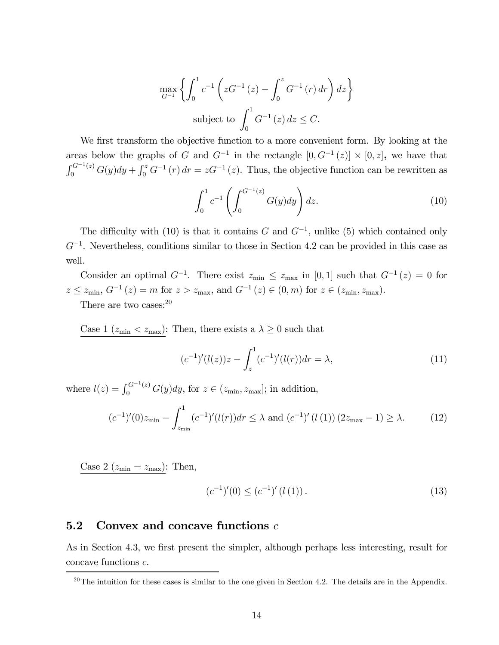$$
\max_{G^{-1}} \left\{ \int_0^1 c^{-1} \left( z G^{-1} (z) - \int_0^z G^{-1} (r) dr \right) dz \right\}
$$
  
subject to 
$$
\int_0^1 G^{-1} (z) dz \le C.
$$

We first transform the objective function to a more convenient form. By looking at the areas below the graphs of G and  $G^{-1}$  in the rectangle  $[0, G^{-1}(z)] \times [0, z]$ , we have that  $\int_0^{G^{-1}(z)} G(y) dy + \int_0^z G^{-1}(r) dr = zG^{-1}(z)$ . Thus, the objective function can be rewritten as

$$
\int_0^1 c^{-1} \left( \int_0^{G^{-1}(z)} G(y) dy \right) dz.
$$
 (10)

The difficulty with (10) is that it contains G and  $G^{-1}$ , unlike (5) which contained only  $G^{-1}$ . Nevertheless, conditions similar to those in Section 4.2 can be provided in this case as well.

Consider an optimal  $G^{-1}$ . There exist  $z_{\text{min}} \leq z_{\text{max}}$  in [0, 1] such that  $G^{-1}(z)=0$  for  $z \leq z_{\min}, G^{-1}(z) = m$  for  $z > z_{\max}$ , and  $G^{-1}(z) \in (0, m)$  for  $z \in (z_{\min}, z_{\max})$ .

There are two cases: $20$ 

Case 1 ( $z_{\text{min}} < z_{\text{max}}$ ): Then, there exists a  $\lambda \geq 0$  such that

$$
(c^{-1})'(l(z))z - \int_{z}^{1} (c^{-1})'(l(r))dr = \lambda,
$$
\n(11)

where  $l(z) = \int_0^{G^{-1}(z)} G(y) dy$ , for  $z \in (z_{\min}, z_{\max}]$ ; in addition,

$$
(c^{-1})'(0)z_{\min} - \int_{z_{\min}}^{1} (c^{-1})'(l(r))dr \le \lambda \text{ and } (c^{-1})'(l(1)) (2z_{\max} - 1) \ge \lambda. \tag{12}
$$

Case 2 ( $z_{\text{min}} = z_{\text{max}}$ ): Then,

$$
(c^{-1})'(0) \le (c^{-1})'(l(1)).
$$
\n(13)

#### **5.2** Convex and concave functions  $c$

As in Section 4.3, we first present the simpler, although perhaps less interesting, result for concave functions c.

 $20$ The intuition for these cases is similar to the one given in Section 4.2. The details are in the Appendix.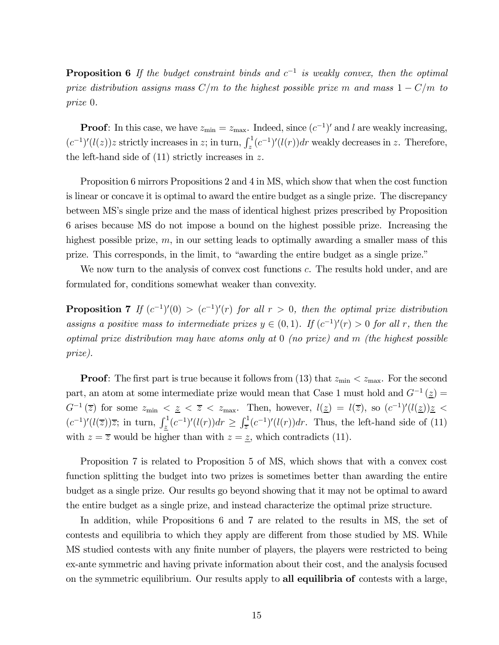**Proposition 6** If the budget constraint binds and  $c^{-1}$  is weakly convex, then the optimal prize distribution assigns mass  $C/m$  to the highest possible prize m and mass  $1 - C/m$  to prize 0.

**Proof**: In this case, we have  $z_{\text{min}} = z_{\text{max}}$ . Indeed, since  $(c^{-1})'$  and l are weakly increasing,  $(c^{-1})'(l(z))z$  strictly increases in z; in turn,  $\int_z^1 (c^{-1})'(l(r))dr$  weakly decreases in z. Therefore, the left-hand side of  $(11)$  strictly increases in z.

Proposition 6 mirrors Propositions 2 and 4 in MS, which show that when the cost function is linear or concave it is optimal to award the entire budget as a single prize. The discrepancy between MS's single prize and the mass of identical highest prizes prescribed by Proposition 6 arises because MS do not impose a bound on the highest possible prize. Increasing the highest possible prize, m, in our setting leads to optimally awarding a smaller mass of this prize. This corresponds, in the limit, to "awarding the entire budget as a single prize."

We now turn to the analysis of convex cost functions c. The results hold under, and are formulated for, conditions somewhat weaker than convexity.

**Proposition 7** If  $(c^{-1})'(0) > (c^{-1})'(r)$  for all  $r > 0$ , then the optimal prize distribution assigns a positive mass to intermediate prizes  $y \in (0,1)$ . If  $(c^{-1})'(r) > 0$  for all r, then the optimal prize distribution may have atoms only at 0 (no prize) and m (the highest possible prize).

**Proof:** The first part is true because it follows from (13) that  $z_{\text{min}} < z_{\text{max}}$ . For the second part, an atom at some intermediate prize would mean that Case 1 must hold and  $G^{-1}(\underline{z}) =$  $G^{-1}(\overline{z})$  for some  $z_{\min} < z \leq \overline{z} < z_{\max}$ . Then, however,  $l(\underline{z}) = l(\overline{z})$ , so  $(c^{-1})'(l(\underline{z}))\underline{z} <$  $(c^{-1})'(l(\overline{z}))\overline{z}$ ; in turn,  $\int_{\underline{z}}^{1}(c^{-1})'(l(r))dr \geq \int_{\overline{z}}^{1}(c^{-1})'(l(r))dr$ . Thus, the left-hand side of (11) with  $z = \overline{z}$  would be higher than with  $z = \underline{z}$ , which contradicts (11).

Proposition 7 is related to Proposition 5 of MS, which shows that with a convex cost function splitting the budget into two prizes is sometimes better than awarding the entire budget as a single prize. Our results go beyond showing that it may not be optimal to award the entire budget as a single prize, and instead characterize the optimal prize structure.

In addition, while Propositions 6 and 7 are related to the results in MS, the set of contests and equilibria to which they apply are different from those studied by MS. While MS studied contests with any finite number of players, the players were restricted to being ex-ante symmetric and having private information about their cost, and the analysis focused on the symmetric equilibrium. Our results apply to all equilibria of contests with a large,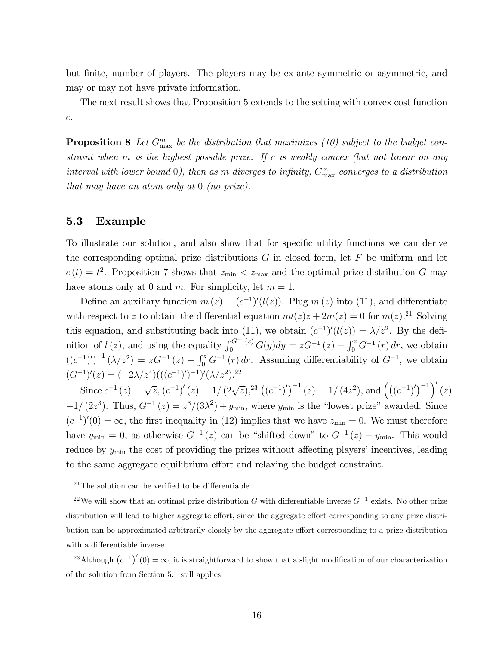but finite, number of players. The players may be ex-ante symmetric or asymmetric, and may or may not have private information.

The next result shows that Proposition 5 extends to the setting with convex cost function c.

**Proposition 8** Let  $G_{\text{max}}^m$  be the distribution that maximizes (10) subject to the budget constraint when  $m$  is the highest possible prize. If c is weakly convex (but not linear on any interval with lower bound  $0$ ), then as m diverges to infinity,  $G_{\text{max}}^m$  converges to a distribution that may have an atom only at 0 (no prize).

#### 5.3 Example

To illustrate our solution, and also show that for specific utility functions we can derive the corresponding optimal prize distributions  $G$  in closed form, let  $F$  be uniform and let  $c(t) = t^2$ . Proposition 7 shows that  $z_{\text{min}} < z_{\text{max}}$  and the optimal prize distribution G may have atoms only at 0 and m. For simplicity, let  $m = 1$ .

Define an auxiliary function  $m(z) = (c^{-1})'(l(z))$ . Plug  $m(z)$  into (11), and differentiate with respect to z to obtain the differential equation  $m(z)z + 2m(z) = 0$  for  $m(z)$ .<sup>21</sup> Solving this equation, and substituting back into (11), we obtain  $(c^{-1})'(l(z)) = \lambda/z^2$ . By the definition of  $l(z)$ , and using the equality  $\int_0^{G^{-1}(z)} G(y) dy = zG^{-1}(z) - \int_0^z G^{-1}(r) dr$ , we obtain  $((c^{-1})')^{-1} (\lambda/z^2) = zG^{-1}(z) - \int_0^z G^{-1}(r) dr$ . Assuming differentiability of  $G^{-1}$ , we obtain  $(G^{-1})'(z) = (-2\lambda/z^4)(( (c^{-1})')^{-1})' (\lambda/z^2).^{22}$ 

Since  $c^{-1}(z) = \sqrt{z}$ ,  $(c^{-1})'(z) = 1/(2\sqrt{z})$ ,<sup>23</sup>  $((c^{-1})')^{-1}(z) = 1/(4z^2)$ , and  $((c^{-1})')^{-1}'(z) =$  $-1/(2z^3)$ . Thus,  $G^{-1}(z) = z^3/(3\lambda^2) + y_{\text{min}}$ , where  $y_{\text{min}}$  is the "lowest prize" awarded. Since  $(c^{-1})'(0) = \infty$ , the first inequality in (12) implies that we have  $z_{\min} = 0$ . We must therefore have  $y_{\text{min}} = 0$ , as otherwise  $G^{-1}(z)$  can be "shifted down" to  $G^{-1}(z) - y_{\text{min}}$ . This would reduce by  $y_{\text{min}}$  the cost of providing the prizes without affecting players' incentives, leading to the same aggregate equilibrium effort and relaxing the budget constraint.

<sup>23</sup>Although  $(c^{-1})'(0) = \infty$ , it is straightforward to show that a slight modification of our characterization of the solution from Section 5.1 still applies.

 $21$ The solution can be verified to be differentiable.

<sup>&</sup>lt;sup>22</sup>We will show that an optimal prize distribution G with differentiable inverse  $G^{-1}$  exists. No other prize distribution will lead to higher aggregate effort, since the aggregate effort corresponding to any prize distribution can be approximated arbitrarily closely by the aggregate effort corresponding to a prize distribution with a differentiable inverse.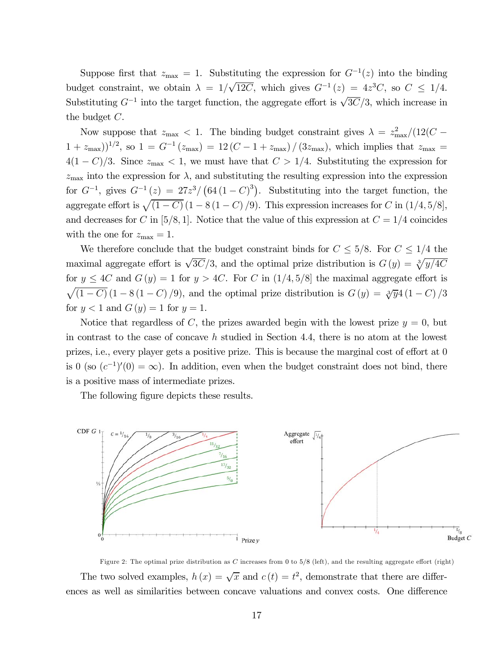Suppose first that  $z_{\text{max}} = 1$ . Substituting the expression for  $G^{-1}(z)$  into the binding budget constraint, we obtain  $\lambda = 1/\sqrt{12C}$ , which gives  $G^{-1}(z) = 4z^3C$ , so  $C \le 1/4$ . Substituting  $G^{-1}$  into the target function, the aggregate effort is  $\sqrt{3C}/3$ , which increase in the budget C.

Now suppose that  $z_{\text{max}} < 1$ . The binding budget constraint gives  $\lambda = z_{\text{max}}^2/(12(C (1 + z_{\text{max}}))^{1/2}$ , so  $1 = G^{-1}(z_{\text{max}}) = 12(C - 1 + z_{\text{max}})/(3z_{\text{max}})$ , which implies that  $z_{\text{max}} =$  $4(1 - C)/3$ . Since  $z_{\text{max}} < 1$ , we must have that  $C > 1/4$ . Substituting the expression for  $z_{\text{max}}$  into the expression for  $\lambda$ , and substituting the resulting expression into the expression for  $G^{-1}$ , gives  $G^{-1}(z) = 27z^3/(64(1-C)^3)$ . Substituting into the target function, the aggregate effort is  $\sqrt{(1 - C)} (1 - 8 (1 - C) / 9)$ . This expression increases for C in  $(1/4, 5/8]$ , and decreases for C in [5/8, 1]. Notice that the value of this expression at  $C = 1/4$  coincides with the one for  $z_{\text{max}} = 1$ .

We therefore conclude that the budget constraint binds for  $C \leq 5/8$ . For  $C \leq 1/4$  the maximal aggregate effort is  $\sqrt{3}C/3$ , and the optimal prize distribution is  $G(y) = \sqrt[3]{y/4C}$ for  $y \leq 4C$  and  $G(y)=1$  for  $y > 4C$ . For C in  $(1/4, 5/8]$  the maximal aggregate effort is  $\sqrt{(1 - C)} (1 - 8 (1 - C) / 9)$ , and the optimal prize distribution is  $G(y) = \sqrt[3]{y} 4 (1 - C) / 3$ for  $y < 1$  and  $G(y) = 1$  for  $y = 1$ .

Notice that regardless of C, the prizes awarded begin with the lowest prize  $y = 0$ , but in contrast to the case of concave h studied in Section 4.4, there is no atom at the lowest prizes, i.e., every player gets a positive prize. This is because the marginal cost of effort at 0 is 0 (so  $(c^{-1})'(0) = \infty$ ). In addition, even when the budget constraint does not bind, there is a positive mass of intermediate prizes.

The following figure depicts these results.



Figure 2: The optimal prize distribution as  $C$  increases from 0 to  $5/8$  (left), and the resulting aggregate effort (right) The two solved examples,  $h(x) = \sqrt{x}$  and  $c(t) = t^2$ , demonstrate that there are differences as well as similarities between concave valuations and convex costs. One difference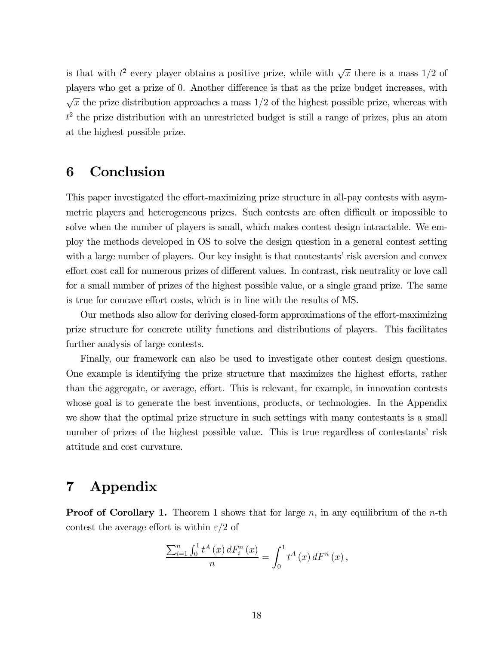is that with  $t^2$  every player obtains a positive prize, while with  $\sqrt{x}$  there is a mass 1/2 of players who get a prize of 0. Another difference is that as the prize budget increases, with  $\sqrt{x}$  the prize distribution approaches a mass 1/2 of the highest possible prize, whereas with  $t<sup>2</sup>$  the prize distribution with an unrestricted budget is still a range of prizes, plus an atom at the highest possible prize.

### 6 Conclusion

This paper investigated the effort-maximizing prize structure in all-pay contests with asymmetric players and heterogeneous prizes. Such contests are often difficult or impossible to solve when the number of players is small, which makes contest design intractable. We employ the methods developed in OS to solve the design question in a general contest setting with a large number of players. Our key insight is that contestants' risk aversion and convex effort cost call for numerous prizes of different values. In contrast, risk neutrality or love call for a small number of prizes of the highest possible value, or a single grand prize. The same is true for concave effort costs, which is in line with the results of MS.

Our methods also allow for deriving closed-form approximations of the effort-maximizing prize structure for concrete utility functions and distributions of players. This facilitates further analysis of large contests.

Finally, our framework can also be used to investigate other contest design questions. One example is identifying the prize structure that maximizes the highest efforts, rather than the aggregate, or average, effort. This is relevant, for example, in innovation contests whose goal is to generate the best inventions, products, or technologies. In the Appendix we show that the optimal prize structure in such settings with many contestants is a small number of prizes of the highest possible value. This is true regardless of contestants' risk attitude and cost curvature.

## 7 Appendix

**Proof of Corollary 1.** Theorem 1 shows that for large n, in any equilibrium of the n-th contest the average effort is within  $\varepsilon/2$  of

$$
\frac{\sum_{i=1}^{n} \int_{0}^{1} t^{A}(x) dF_{i}^{n}(x)}{n} = \int_{0}^{1} t^{A}(x) dF^{n}(x),
$$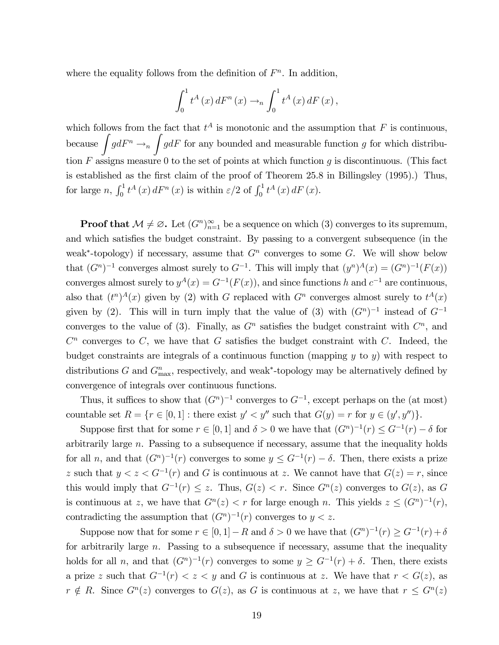where the equality follows from the definition of  $F<sup>n</sup>$ . In addition,

$$
\int_0^1 t^A(x) dF^n(x) \rightarrow_n \int_0^1 t^A(x) dF(x),
$$

which follows from the fact that  $t^A$  is monotonic and the assumption that F is continuous, because  $\int g dF^n \rightarrow_n$ Z  $gdF$  for any bounded and measurable function g for which distribution  $F$  assigns measure 0 to the set of points at which function  $g$  is discontinuous. (This fact is established as the first claim of the proof of Theorem 25.8 in Billingsley (1995).) Thus, for large n,  $\int_0^1 t^A(x) dF^n(x)$  is within  $\varepsilon/2$  of  $\int_0^1 t^A(x) dF(x)$ .

**Proof that**  $\mathcal{M} \neq \emptyset$ . Let  $(G^n)_{n=1}^{\infty}$  be a sequence on which (3) converges to its supremum, and which satisfies the budget constraint. By passing to a convergent subsequence (in the weak<sup>\*</sup>-topology) if necessary, assume that  $G<sup>n</sup>$  converges to some G. We will show below that  $(G<sup>n</sup>)<sup>-1</sup>$  converges almost surely to  $G<sup>-1</sup>$ . This will imply that  $(y<sup>n</sup>)<sup>A</sup>(x)=(G<sup>n</sup>)<sup>-1</sup>(F(x))$ converges almost surely to  $y^A(x) = G^{-1}(F(x))$ , and since functions h and  $c^{-1}$  are continuous, also that  $(t^n)^A(x)$  given by (2) with G replaced with  $G^n$  converges almost surely to  $t^A(x)$ given by (2). This will in turn imply that the value of (3) with  $(G<sup>n</sup>)<sup>-1</sup>$  instead of  $G<sup>-1</sup>$ converges to the value of (3). Finally, as  $G<sup>n</sup>$  satisfies the budget constraint with  $C<sup>n</sup>$ , and  $C<sup>n</sup>$  converges to C, we have that G satisfies the budget constraint with C. Indeed, the budget constraints are integrals of a continuous function (mapping  $y$  to  $y$ ) with respect to distributions G and  $G_{\text{max}}^n$ , respectively, and weak<sup>\*</sup>-topology may be alternatively defined by convergence of integrals over continuous functions.

Thus, it suffices to show that  $(G<sup>n</sup>)<sup>-1</sup>$  converges to  $G<sup>-1</sup>$ , except perhaps on the (at most) countable set  $R = \{r \in [0, 1] : \text{there exist } y' < y'' \text{ such that } G(y) = r \text{ for } y \in (y', y'')\}.$ 

Suppose first that for some  $r \in [0, 1]$  and  $\delta > 0$  we have that  $(G<sup>n</sup>)<sup>-1</sup>(r) \leq G<sup>-1</sup>(r) - \delta$  for arbitrarily large n. Passing to a subsequence if necessary, assume that the inequality holds for all n, and that  $(G<sup>n</sup>)<sup>-1</sup>(r)$  converges to some  $y \leq G<sup>-1</sup>(r) - \delta$ . Then, there exists a prize z such that  $y < z < G^{-1}(r)$  and G is continuous at z. We cannot have that  $G(z) = r$ , since this would imply that  $G^{-1}(r) \leq z$ . Thus,  $G(z) < r$ . Since  $G^{n}(z)$  converges to  $G(z)$ , as G is continuous at z, we have that  $G<sup>n</sup>(z) < r$  for large enough n. This yields  $z \leq (G<sup>n</sup>)^{-1}(r)$ , contradicting the assumption that  $(G<sup>n</sup>)<sup>-1</sup>(r)$  converges to  $y < z$ .

Suppose now that for some  $r \in [0, 1] - R$  and  $\delta > 0$  we have that  $(G<sup>n</sup>)<sup>-1</sup>(r) \ge G<sup>-1</sup>(r) + \delta$ for arbitrarily large  $n$ . Passing to a subsequence if necessary, assume that the inequality holds for all n, and that  $(G<sup>n</sup>)<sup>-1</sup>(r)$  converges to some  $y \geq G<sup>-1</sup>(r) + \delta$ . Then, there exists a prize z such that  $G^{-1}(r) < z < y$  and G is continuous at z. We have that  $r < G(z)$ , as  $r \notin R$ . Since  $G^n(z)$  converges to  $G(z)$ , as G is continuous at z, we have that  $r \leq G^n(z)$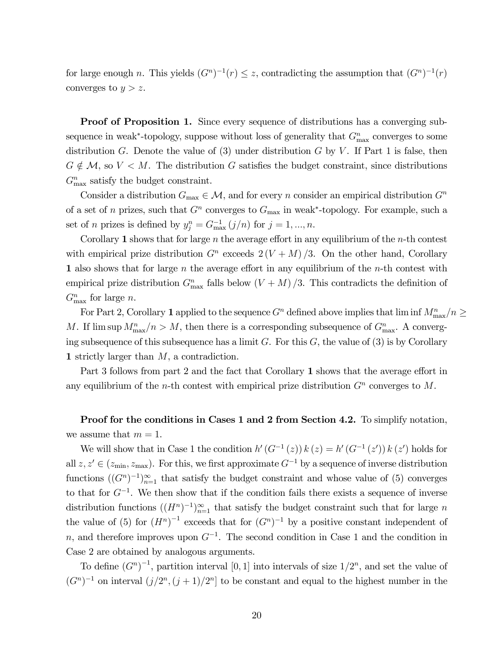for large enough n. This yields  $(G<sup>n</sup>)<sup>-1</sup>(r) \leq z$ , contradicting the assumption that  $(G<sup>n</sup>)<sup>-1</sup>(r)$ converges to  $y > z$ .

**Proof of Proposition 1.** Since every sequence of distributions has a converging subsequence in weak<sup>∗</sup>-topology, suppose without loss of generality that  $G_{\text{max}}^n$  converges to some distribution G. Denote the value of  $(3)$  under distribution G by V. If Part 1 is false, then  $G \notin \mathcal{M}$ , so  $V \leq M$ . The distribution G satisfies the budget constraint, since distributions  $G^n_{\text{max}}$  satisfy the budget constraint.

Consider a distribution  $G_{\text{max}} \in \mathcal{M}$ , and for every n consider an empirical distribution  $G^n$ of a set of n prizes, such that  $G<sup>n</sup>$  converges to  $G<sub>max</sub>$  in weak<sup>\*</sup>-topology. For example, such a set of *n* prizes is defined by  $y_j^n = G_{\text{max}}^{-1}(j/n)$  for  $j = 1, ..., n$ .

Corollary 1 shows that for large  $n$  the average effort in any equilibrium of the  $n$ -th contest with empirical prize distribution  $G<sup>n</sup>$  exceeds  $2(V+M)/3$ . On the other hand, Corollary 1 also shows that for large  $n$  the average effort in any equilibrium of the  $n$ -th contest with empirical prize distribution  $G_{\text{max}}^n$  falls below  $(V + M)/3$ . This contradicts the definition of  $G_{\text{max}}^n$  for large *n*.

For Part 2, Corollary 1 applied to the sequence  $G<sup>n</sup>$  defined above implies that  $\liminf M_{\max}^n/n \ge$ M. If  $\limsup M_{\text{max}}^n/n > M$ , then there is a corresponding subsequence of  $G_{\text{max}}^n$ . A converging subsequence of this subsequence has a limit G. For this  $G$ , the value of (3) is by Corollary 1 strictly larger than M, a contradiction.

Part 3 follows from part 2 and the fact that Corollary 1 shows that the average effort in any equilibrium of the *n*-th contest with empirical prize distribution  $G<sup>n</sup>$  converges to M.

Proof for the conditions in Cases 1 and 2 from Section 4.2. To simplify notation, we assume that  $m = 1$ .

We will show that in Case 1 the condition  $h'(G^{-1}(z)) k(z) = h'(G^{-1}(z')) k(z')$  holds for all  $z, z' \in (z_{\min}, z_{\max})$ . For this, we first approximate  $G^{-1}$  by a sequence of inverse distribution functions  $((G<sup>n</sup>)<sup>-1</sup>)<sub>n=1</sub><sup>\infty</sup>$  that satisfy the budget constraint and whose value of (5) converges to that for  $G^{-1}$ . We then show that if the condition fails there exists a sequence of inverse distribution functions  $((H<sup>n</sup>)<sup>-1</sup>)<sub>n=1</sub><sup>\infty</sup>$  that satisfy the budget constraint such that for large n the value of (5) for  $(H^n)^{-1}$  exceeds that for  $(G^n)^{-1}$  by a positive constant independent of n, and therefore improves upon  $G^{-1}$ . The second condition in Case 1 and the condition in Case 2 are obtained by analogous arguments.

To define  $(G^n)^{-1}$ , partition interval [0, 1] into intervals of size  $1/2^n$ , and set the value of  $(G<sup>n</sup>)<sup>-1</sup>$  on interval  $(j/2<sup>n</sup>, (j + 1)/2<sup>n</sup>]$  to be constant and equal to the highest number in the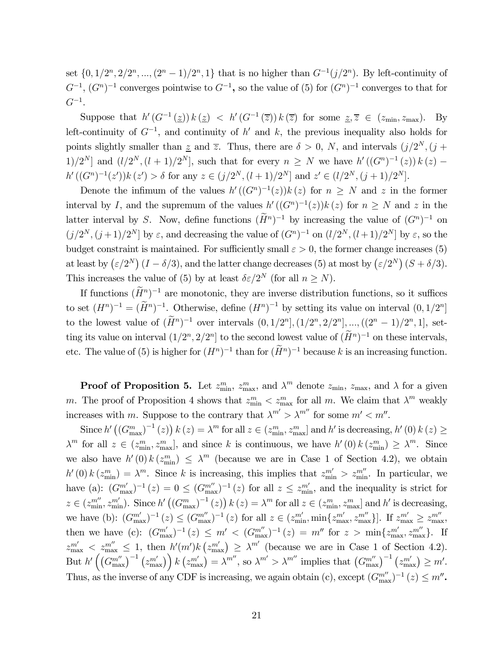set  $\{0, 1/2^n, 2/2^n, ..., (2^n - 1)/2^n, 1\}$  that is no higher than  $G^{-1}(j/2^n)$ . By left-continuity of  $G^{-1}$ ,  $(G<sup>n</sup>)<sup>-1</sup>$  converges pointwise to  $G<sup>-1</sup>$ , so the value of (5) for  $(G<sup>n</sup>)<sup>-1</sup>$  converges to that for  $G^{-1}$ .

Suppose that  $h'(G^{-1}(\underline{z})) k(\underline{z}) < h'(G^{-1}(\overline{z})) k(\overline{z})$  for some  $\underline{z}, \overline{z} \in (z_{\min}, z_{\max})$ . By left-continuity of  $G^{-1}$ , and continuity of h' and k, the previous inequality also holds for points slightly smaller than z and  $\overline{z}$ . Thus, there are  $\delta > 0$ , N, and intervals  $(j/2^N, (j +$ 1)/2<sup>N</sup>] and  $(l/2^N, (l+1)/2^N]$ , such that for every  $n \geq N$  we have  $h'((G^n)^{-1}(z)) k(z)$  –  $h'((G<sup>n</sup>)<sup>-1</sup>(z'))k(z') > \delta$  for any  $z \in (j/2<sup>N</sup>, (l + 1)/2<sup>N</sup>]$  and  $z' \in (l/2<sup>N</sup>, (j + 1)/2<sup>N</sup>]$ .

Denote the infimum of the values  $h'((G<sup>n</sup>)<sup>-1</sup>(z))k(z)$  for  $n \geq N$  and z in the former interval by I, and the supremum of the values  $h'((G<sup>n</sup>)<sup>-1</sup>(z))k(z)$  for  $n \geq N$  and z in the latter interval by S. Now, define functions  $(H^n)^{-1}$  by increasing the value of  $(G^n)^{-1}$  on  $(j/2^N, (j+1)/2^N]$  by  $\varepsilon$ , and decreasing the value of  $(G<sup>n</sup>)<sup>-1</sup>$  on  $(l/2^N, (l+1)/2^N]$  by  $\varepsilon$ , so the budget constraint is maintained. For sufficiently small  $\varepsilon > 0$ , the former change increases (5) at least by  $(\varepsilon/2^N)(I-\delta/3)$ , and the latter change decreases (5) at most by  $(\varepsilon/2^N)(S+\delta/3)$ . This increases the value of (5) by at least  $\delta \varepsilon/2^N$  (for all  $n \geq N$ ).

If functions  $(H<sup>n</sup>)<sup>-1</sup>$  are monotonic, they are inverse distribution functions, so it suffices to set  $(H^n)^{-1} = (\widetilde{H}^n)^{-1}$ . Otherwise, define  $(H^n)^{-1}$  by setting its value on interval  $(0, 1/2^n]$ to the lowest value of  $(\widetilde{H}^n)^{-1}$  over intervals  $(0, 1/2^n], (1/2^n, 2/2^n], ..., ((2^n - 1)/2^n, 1],$  setting its value on interval  $(1/2^n, 2/2^n]$  to the second lowest value of  $(H^n)^{-1}$  on these intervals, etc. The value of (5) is higher for  $(H^n)^{-1}$  than for  $(H^n)^{-1}$  because k is an increasing function.

**Proof of Proposition 5.** Let  $z_{\text{min}}^m$ ,  $z_{\text{max}}^m$ , and  $\lambda^m$  denote  $z_{\text{min}}$ ,  $z_{\text{max}}$ , and  $\lambda$  for a given m. The proof of Proposition 4 shows that  $z_{\text{min}}^m < z_{\text{max}}^m$  for all m. We claim that  $\lambda^m$  weakly increases with m. Suppose to the contrary that  $\lambda^{m'} > \lambda^{m''}$  for some  $m' < m''$ .

Since  $h'$   $((G_{\text{max}}^m)^{-1}(z))$   $k(z) = \lambda^m$  for all  $z \in (z_{\text{min}}^m, z_{\text{max}}^m]$  and  $h'$  is decreasing,  $h'(0)$   $k(z) \ge$  $\lambda^m$  for all  $z \in (z_{\min}^m, z_{\max}^m]$ , and since k is continuous, we have  $h'(0) k (z_{\min}^m) \geq \lambda^m$ . Since we also have  $h'(0) k (z_{\text{min}}^m) \leq \lambda^m$  (because we are in Case 1 of Section 4.2), we obtain  $h'(0) k (z_{\min}^m) = \lambda^m$ . Since k is increasing, this implies that  $z_{\min}^{m'} > z_{\min}^{m'}$ . In particular, we have (a):  $(G_{\text{max}}^{m'})^{-1}(z)=0 \leq (G_{\text{max}}^{m'})^{-1}(z)$  for all  $z \leq z_{\text{min}}^{m'}$ , and the inequality is strict for  $z \in (z_{\min}^{m''}, z_{\min}^{m'})$ . Since  $h'((G_{\max}^m)^{-1}(z)) k(z) = \lambda^m$  for all  $z \in (z_{\min}^m, z_{\max}^m]$  and  $h'$  is decreasing, we have (b):  $(G_{\text{max}}^{m'})^{-1}(z) \leq (G_{\text{max}}^{m''})^{-1}(z)$  for all  $z \in (z_{\text{min}}^{m'}, \min\{z_{\text{max}}^{m'}, z_{\text{max}}^{m''}\}]$ . If  $z_{\text{max}}^{m'} \geq z_{\text{max}}^{m''}$ , then we have (c):  $(G_{\text{max}}^{m'})^{-1}(z) \leq m' < (G_{\text{max}}^{m''})^{-1}(z) = m''$  for  $z > \min\{z_{\text{max}}^{m'}, z_{\text{max}}^{m''}\}$ . If  $z_{\text{max}}^{m'} \leq z_{\text{max}}^{m''} \leq 1$ , then  $h'(m')k(z_{\text{max}}^{m'}) \geq \lambda^{m'}$  (because we are in Case 1 of Section 4.2). But  $h'\left(\left(G^{m''}_{\text{max}}\right)^{-1}\left(z^{m'}_{\text{max}}\right)\right)k\left(z^{m'}_{\text{max}}\right) = \lambda^{m''}$ , so  $\lambda^{m'} > \lambda^{m''}$  implies that  $\left(G^{m''}_{\text{max}}\right)^{-1}\left(z^{m'}_{\text{max}}\right) \geq m'$ . Thus, as the inverse of any CDF is increasing, we again obtain (c), except  $(G_{\text{max}}^{m''})^{-1}(z) \leq m''$ .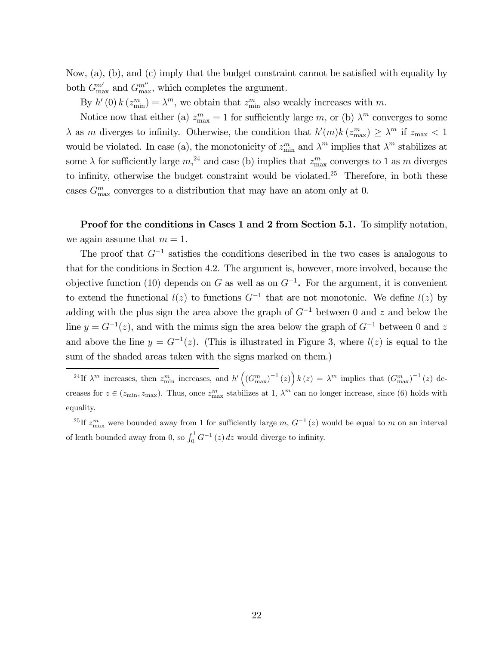Now, (a), (b), and (c) imply that the budget constraint cannot be satisfied with equality by both  $G_{\text{max}}^{m'}$  and  $G_{\text{max}}^{m''}$ , which completes the argument.

By  $h'(0) k(z_{\text{min}}^m) = \lambda^m$ , we obtain that  $z_{\text{min}}^m$  also weakly increases with m.

Notice now that either (a)  $z_{\text{max}}^m = 1$  for sufficiently large m, or (b)  $\lambda^m$  converges to some  $\lambda$  as m diverges to infinity. Otherwise, the condition that  $h'(m)k(z_{\text{max}}^m) \geq \lambda^m$  if  $z_{\text{max}} < 1$ would be violated. In case (a), the monotonicity of  $z_{\min}^m$  and  $\lambda^m$  implies that  $\lambda^m$  stabilizes at some  $\lambda$  for sufficiently large  $m<sup>24</sup>$  and case (b) implies that  $z_{\text{max}}^m$  converges to 1 as m diverges to infinity, otherwise the budget constraint would be violated.<sup>25</sup> Therefore, in both these cases  $G_{\text{max}}^m$  converges to a distribution that may have an atom only at 0.

Proof for the conditions in Cases 1 and 2 from Section 5.1. To simplify notation, we again assume that  $m = 1$ .

The proof that  $G^{-1}$  satisfies the conditions described in the two cases is analogous to that for the conditions in Section 4.2. The argument is, however, more involved, because the objective function (10) depends on G as well as on  $G^{-1}$ . For the argument, it is convenient to extend the functional  $l(z)$  to functions  $G^{-1}$  that are not monotonic. We define  $l(z)$  by adding with the plus sign the area above the graph of  $G^{-1}$  between 0 and z and below the line  $y = G^{-1}(z)$ , and with the minus sign the area below the graph of  $G^{-1}$  between 0 and z and above the line  $y = G^{-1}(z)$ . (This is illustrated in Figure 3, where  $l(z)$  is equal to the sum of the shaded areas taken with the signs marked on them.)

<sup>24</sup>If  $\lambda^m$  increases, then  $z_{\min}^m$  increases, and  $h'\left(\left(G_{\max}^m\right)^{-1}(z)\right)k(z) = \lambda^m$  implies that  $\left(G_{\max}^m\right)^{-1}(z)$  decreases for  $z \in (z_{\min}, z_{\max})$ . Thus, once  $z_{\max}^m$  stabilizes at 1,  $\lambda^m$  can no longer increase, since (6) holds with equality.

<sup>25</sup>If  $z_{\text{max}}^m$  were bounded away from 1 for sufficiently large m,  $G^{-1}(z)$  would be equal to m on an interval of lenth bounded away from 0, so  $\int_0^1 G^{-1}(z) dz$  would diverge to infinity.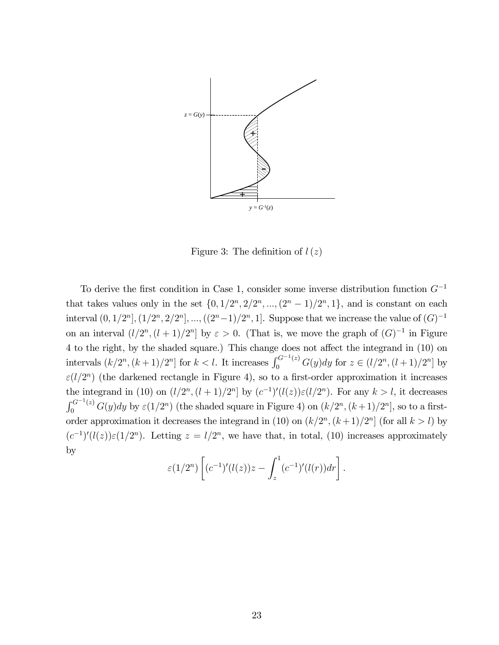

Figure 3: The definition of  $l(z)$ 

To derive the first condition in Case 1, consider some inverse distribution function  $G^{-1}$ that takes values only in the set  $\{0, 1/2^n, 2/2^n, ..., (2^n - 1)/2^n, 1\}$ , and is constant on each interval  $(0, 1/2<sup>n</sup>], (1/2<sup>n</sup>, 2/2<sup>n</sup>], ..., ((2<sup>n</sup>-1)/2<sup>n</sup>, 1].$  Suppose that we increase the value of  $(G)^{-1}$ on an interval  $(l/2<sup>n</sup>, (l + 1)/2<sup>n</sup>]$  by  $\varepsilon > 0$ . (That is, we move the graph of  $(G)^{-1}$  in Figure 4 to the right, by the shaded square.) This change does not affect the integrand in (10) on intervals  $(k/2^n, (k+1)/2^n]$  for  $k < l$ . It increases  $\int_0^{G^{-1}(z)} G(y) dy$  for  $z \in (l/2^n, (l+1)/2^n]$  by  $\varepsilon$ (l/2<sup>n</sup>) (the darkened rectangle in Figure 4), so to a first-order approximation it increases the integrand in (10) on  $(l/2^n, (l+1)/2^n]$  by  $(c^{-1})'(l(z))\varepsilon(l/2^n)$ . For any  $k > l$ , it decreases  $\int_0^{G^{-1}(z)} G(y) dy$  by  $\varepsilon(1/2^n)$  (the shaded square in Figure 4) on  $(k/2^n, (k+1)/2^n]$ , so to a firstorder approximation it decreases the integrand in (10) on  $(k/2<sup>n</sup>, (k+1)/2<sup>n</sup>]$  (for all  $k > l$ ) by  $(c^{-1})'(l(z))\varepsilon(1/2^n)$ . Letting  $z = l/2^n$ , we have that, in total, (10) increases approximately by

$$
\varepsilon(1/2^{n}) \left[ (c^{-1})'(l(z))z - \int_{z}^{1} (c^{-1})'(l(r)) dr \right].
$$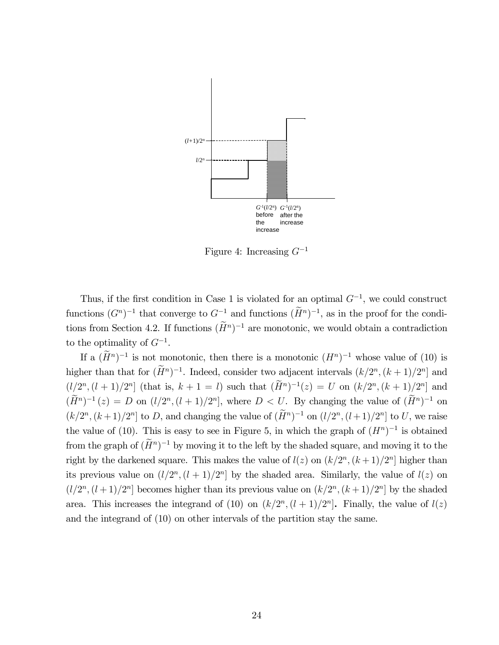

Figure 4: Increasing  $G^{-1}$ 

Thus, if the first condition in Case 1 is violated for an optimal  $G^{-1}$ , we could construct functions  $(G<sup>n</sup>)<sup>-1</sup>$  that converge to  $G<sup>-1</sup>$  and functions  $(H<sup>n</sup>)<sup>-1</sup>$ , as in the proof for the conditions from Section 4.2. If functions  $(H<sup>n</sup>)<sup>-1</sup>$  are monotonic, we would obtain a contradiction to the optimality of  $G^{-1}$ .

If a  $(H<sup>n</sup>)<sup>-1</sup>$  is not monotonic, then there is a monotonic  $(H<sup>n</sup>)<sup>-1</sup>$  whose value of (10) is higher than that for  $(H^n)^{-1}$ . Indeed, consider two adjacent intervals  $(k/2^n, (k+1)/2^n]$  and  $(l/2^{n},(l + 1)/2^{n}]$  (that is,  $k + 1 = l$ ) such that  $(\widetilde{H}^{n})^{-1}(z) = U$  on  $(k/2^{n},(k + 1)/2^{n}]$  and  $(\widetilde{H}^n)^{-1}(z) = D$  on  $(l/2^n, (l+1)/2^n]$ , where  $D < U$ . By changing the value of  $(\widetilde{H}^n)^{-1}$  on  $(k/2^n, (k+1)/2^n]$  to D, and changing the value of  $(\widetilde{H}^n)^{-1}$  on  $(l/2^n, (l+1)/2^n]$  to U, we raise the value of (10). This is easy to see in Figure 5, in which the graph of  $(H^n)^{-1}$  is obtained from the graph of  $(H<sup>n</sup>)<sup>-1</sup>$  by moving it to the left by the shaded square, and moving it to the right by the darkened square. This makes the value of  $l(z)$  on  $(k/2<sup>n</sup>, (k+1)/2<sup>n</sup>]$  higher than its previous value on  $(l/2^n, (l+1)/2^n]$  by the shaded area. Similarly, the value of  $l(z)$  on  $(l/2<sup>n</sup>, (l + 1)/2<sup>n</sup>]$  becomes higher than its previous value on  $(k/2<sup>n</sup>, (k + 1)/2<sup>n</sup>]$  by the shaded area. This increases the integrand of (10) on  $(k/2<sup>n</sup>, (l + 1)/2<sup>n</sup>)$ . Finally, the value of  $l(z)$ and the integrand of (10) on other intervals of the partition stay the same.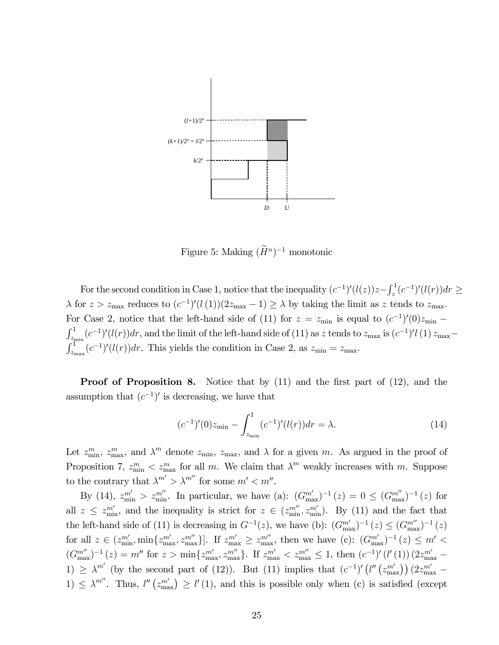

Figure 5: Making  $(H<sup>n</sup>)<sup>-1</sup>$  monotonic

For the second condition in Case 1, notice that the inequality  $(c^{-1})'(l(z))z - \int_z^1 (c^{-1})'(l(r))dr \ge$  $\lambda$  for  $z > z_{\text{max}}$  reduces to  $(c^{-1})'(l(1))(2z_{\text{max}} - 1) \ge \lambda$  by taking the limit as z tends to  $z_{\text{max}}$ . For Case 2, notice that the left-hand side of (11) for  $z = z_{\text{min}}$  is equal to  $(c^{-1})'(0)z_{\text{min}}$  – For Case 2, notice that the left-hand side of (11) for  $z = z_{\text{min}}$  is equal to  $(c^{-1})'(0)z_{\text{min}} - \int_{z_{\text{min}}}^1 (c^{-1})'(l(r))dr$ , and the limit of the left-hand side of (11) as z tends to  $z_{\text{max}}$  is  $(c^{-1})'(l)z_{\text{max}} - \int_{l}^{l} (c^{-1})'($  $z_{\text{max}}(c^{-1})'(l(r))dr$ . This yields the condition in Case 2, as  $z_{\text{min}} = z_{\text{max}}$ .

**Proof of Proposition 8.** Notice that by (11) and the first part of (12), and the assumption that  $(c^{-1})'$  is decreasing, we have that

$$
(c^{-1})'(0)z_{\min} - \int_{z_{\min}}^{1} (c^{-1})'(l(r))dr = \lambda.
$$
 (14)

Let  $z_{\min}^m$ ,  $z_{\max}^m$ , and  $\lambda^m$  denote  $z_{\min}$ ,  $z_{\max}$ , and  $\lambda$  for a given m. As argued in the proof of Proposition 7,  $z_{\text{min}}^m < z_{\text{max}}^m$  for all m. We claim that  $\lambda^m$  weakly increases with m. Suppose to the contrary that  $\lambda^{m'} > \lambda^{m''}$  for some  $m' < m''$ .

By (14),  $z_{\min}^{m'} > z_{\min}^{m''}$ . In particular, we have (a):  $(G_{\max}^{m'})^{-1}(z) = 0 \le (G_{\max}^{m''})^{-1}(z)$  for all  $z \leq z_{\min}^{m'}$ , and the inequality is strict for  $z \in (z_{\min}^{m''}, z_{\min}^{m'})$ . By (11) and the fact that the left-hand side of (11) is decreasing in  $G^{-1}(z)$ , we have (b):  $(G_{\text{max}}^{m'})^{-1}(z) \leq (G_{\text{max}}^{m'})^{-1}(z)$ for all  $z \in (z_{\min}^{m'}$ ,  $\min\{z_{\max}^{m'} , z_{\max}^{m''}\}]$ . If  $z_{\max}^{m'} \geq z_{\max}^{m''}$ , then we have (c):  $(G_{\max}^{m'})^{-1}(z) \leq m' <$  $(G_{\text{max}}^{m''})^{-1}(z) = m''$  for  $z > \min\{z_{\text{max}}^{m'}, z_{\text{max}}^{m''}\}$ . If  $z_{\text{max}}^{m'} < z_{\text{max}}^{m''} \leq 1$ , then  $(c^{-1})'(l'(1)) (2z_{\text{max}}^{m'} -$ 1)  $\geq \lambda^{m'}$  (by the second part of (12)). But (11) implies that  $(c^{-1})'\left(l''\left(z_{\text{max}}^{m'}\right)\right)(2z_{\text{max}}^{m'}-1)$ 1)  $\leq \lambda^{m''}$ . Thus,  $l''(z_{\text{max}}^{m'}) \geq l'(1)$ , and this is possible only when (c) is satisfied (except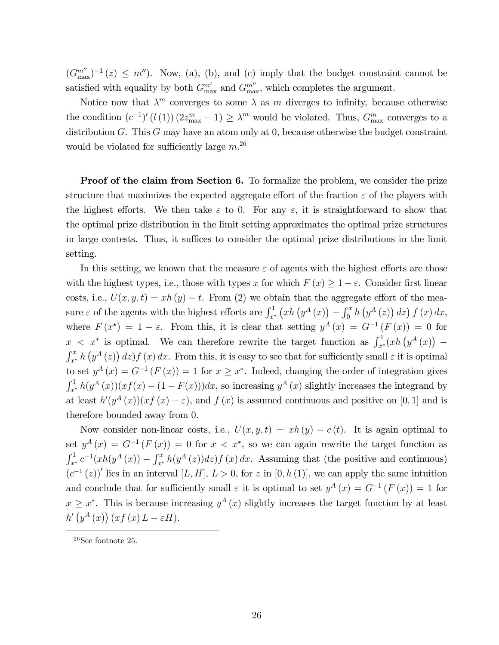$(G_{\text{max}}^{m''})^{-1}(z) \leq m''$ ). Now, (a), (b), and (c) imply that the budget constraint cannot be satisfied with equality by both  $G_{\text{max}}^{m'}$  and  $G_{\text{max}}^{m''}$ , which completes the argument.

Notice now that  $\lambda^m$  converges to some  $\lambda$  as m diverges to infinity, because otherwise the condition  $(c^{-1})' (l(1)) (2z_{\text{max}}^m - 1) \geq \lambda^m$  would be violated. Thus,  $G_{\text{max}}^m$  converges to a distribution G. This G may have an atom only at 0, because otherwise the budget constraint would be violated for sufficiently large  $m^{26}$ 

**Proof of the claim from Section 6.** To formalize the problem, we consider the prize structure that maximizes the expected aggregate effort of the fraction  $\varepsilon$  of the players with the highest efforts. We then take  $\varepsilon$  to 0. For any  $\varepsilon$ , it is straightforward to show that the optimal prize distribution in the limit setting approximates the optimal prize structures in large contests. Thus, it suffices to consider the optimal prize distributions in the limit setting.

In this setting, we known that the measure  $\varepsilon$  of agents with the highest efforts are those with the highest types, i.e., those with types x for which  $F(x) \geq 1 - \varepsilon$ . Consider first linear costs, i.e.,  $U(x, y, t) = xh(y) - t$ . From (2) we obtain that the aggregate effort of the measure  $\varepsilon$  of the agents with the highest efforts are  $\int_{x^*}^1 (xh(y^A(x)) - \int_0^x h(y^A(z)) dz) f(x) dx$ , where  $F(x^*)=1-\varepsilon$ . From this, it is clear that setting  $y^A(x) = G^{-1}(F(x)) = 0$  for  $x < x^*$  is optimal. We can therefore rewrite the target function as  $\int_{x^*}^1 (xh(y^A(x)))$  $x < x^*$  is optimal. We can therefore rewrite the target function as  $\int_{x^*}^x (xh(y^*) (x)) dx$ .<br>  $\int_{x^*}^x h(y^A(z)) dz f(x) dx$ . From this, it is easy to see that for sufficiently small  $\varepsilon$  it is optimal to set  $y^A(x) = G^{-1}(F(x)) = 1$  for  $x \geq x^*$ . Indeed, changing the order of integration gives  $\int_{x^*}^1 h(y^A(x))(xf(x) - (1 - F(x)))dx$ , so increasing  $y^A(x)$  slightly increases the integrand by at least  $h'(y^A(x))(xf(x)-\varepsilon)$ , and  $f(x)$  is assumed continuous and positive on [0, 1] and is therefore bounded away from 0.

Now consider non-linear costs, i.e.,  $U(x, y, t) = xh(y) - c(t)$ . It is again optimal to set  $y^A(x) = G^{-1}(F(x)) = 0$  for  $x < x^*$ , so we can again rewrite the target function as  $\int_{x^*}^1 c^{-1}(xh(y^A(x)) - \int_{x^*}^x h(y^A(z))dz) f(x) dx$ . Assuming that (the positive and continuous)  $(c^{-1}(z))'$  lies in an interval  $[L, H], L > 0$ , for z in  $[0, h(1)]$ , we can apply the same intuition and conclude that for sufficiently small  $\varepsilon$  it is optimal to set  $y^A(x) = G^{-1}(F(x)) = 1$  for  $x \geq x^*$ . This is because increasing  $y^A(x)$  slightly increases the target function by at least  $h'\left(y^A\left(x\right)\right)(xf\left(x\right)L-\varepsilon H).$ 

 $26$ See footnote 25.